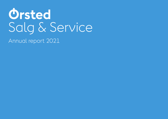# **Ørsted** Salg & Service

Annual report 2021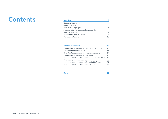### **Contents**

| <b>Overview</b>                          |   |
|------------------------------------------|---|
| Company information                      |   |
| Group structure                          | 5 |
| Performance highlights                   |   |
| Statement by the Executive Board and the |   |
| <b>Board of Directors</b>                |   |
| Independent auditor's report             | 8 |
| Management's review                      |   |

| <b>Financial statements</b>                      | 14  |
|--------------------------------------------------|-----|
| Consolidated statement of comprehensive income   | 1.5 |
| Consolidated balance sheet                       | 16  |
| Consolidated statement of shareholder's equity   | 17  |
| Consolidated statement of cash flows             | 18  |
| Parent company statement of comprehensive income | 19  |
| Parent company balance sheet                     | 20  |
| Parent company statement of shareholder's equity | 21  |
| Parent company statement of cash flows           | フフ  |

| <b>Notes</b> | 23 |
|--------------|----|
|--------------|----|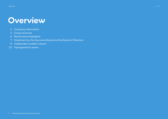# <span id="page-2-0"></span>**Overview**

- 4 [Company information](#page-3-0)
- 5 [Group structure](#page-4-0)
- 6 [Performance highlights](#page-5-0)
- [7 Statement by the Executive Board and the](#page-6-0) Board of Directors
- 8 [Independent auditor's report](#page-7-0)
- 10 [Management's review](#page-9-0)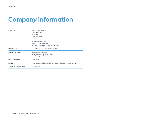### <span id="page-3-0"></span>**Company information**

| Company                   | Ørsted Salg & Service A/S<br>Kraftværksvej 53<br>Skærbæk<br>7000 Fredericia<br>Denmark         |
|---------------------------|------------------------------------------------------------------------------------------------|
|                           | Telephone: +45 99 55 11 11<br>Email: orsted@orsted.dk<br>Company registration number: 27210538 |
| Shareholder               | The entire share capital is held by Ørsted A/S                                                 |
| <b>Board of Directors</b> | Daniel Lerup (Chairman)<br>Anja Forup (Deputy Chairman)<br>Pernille Nygaard Rasmussen          |
| <b>Executive Board</b>    | Martin Neubert                                                                                 |
| Auditor                   | PricewaterhouseCoopers, Statsautoriseret Revisionspartnerselskab                               |
| Annual general meeting    | 22 June 2022                                                                                   |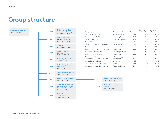### <span id="page-4-0"></span>**Group structure**

| Ørsted Salg & Service A/S<br>CVR no. 27210538 |   | 100%  | Ørsted Markets GmbH<br>Amtsgericht Hamburg<br>Reg. no. HRB117696                                                   |
|-----------------------------------------------|---|-------|--------------------------------------------------------------------------------------------------------------------|
|                                               | → | 100%  | Ørsted Sales GmbH<br>Amtsgericht Hamburg<br>Reg. no. HRB136926                                                     |
|                                               |   | 100%  | Ørsted AB<br>Reg. no. 556626-9345                                                                                  |
|                                               |   | 100%  | <b>Danish Offshore</b><br><b>Gas Systems A/S</b><br>CVR no. 34881057                                               |
|                                               | → | 100%  | Ørsted Pipelines A/S<br>CVR no. 27921825                                                                           |
|                                               |   | 100%  | Ørsted Energy Solutions<br>(UK) Limited<br>Reg. no. 11111174                                                       |
|                                               | → | 8.23% | <b>Nordic Impact Bridge ApS</b><br>CVR no. 39237407                                                                |
|                                               |   | 100%  | Ørsted S&D (UK) Limited<br>Reg. no. 07805315                                                                       |
|                                               | → | 100%  | Ørsted Salg & Service NL,<br><b>branch of Ørsted Salg &amp;</b><br><b>Service A/S Denmark</b><br>Reg. no. 73829749 |
|                                               |   |       | <b>Ørsted Commercial</b>                                                                                           |

 $\rightarrow$  100%

**Commodities A/S** CVR-nr. 41965533

| Company name                                                             | Registered office                        | Currency   | Share capital<br>in million | Group owner-<br>ship interest |
|--------------------------------------------------------------------------|------------------------------------------|------------|-----------------------------|-------------------------------|
| Ørsted Salg & Service A/S                                                | Fredericia, Denmark                      | <b>DKK</b> | 1,110.0                     | 100 %                         |
| Ørsted Markets GmbH                                                      | Hamburg, Germany                         | <b>EUR</b> | 9.6                         | 100 %                         |
| Ørsted Sales GmbH                                                        | Hamburg, Germany                         | <b>EUR</b> | 1.0                         | 100 %                         |
| Ørsted AB                                                                | Gothenburg, Sweden                       | <b>SEK</b> | 5.0                         | 100 %                         |
| Danish Offshore Gas Systems A/S                                          | Fredericia, Denmark                      | <b>DKK</b> | 1.0                         | 100 %                         |
| Ørsted Pipelines A/S                                                     | Fredericia, Denmark                      | <b>DKK</b> | 50.5                        | 100 %                         |
| Ørsted Energy Solutions (UK) Limited                                     | London, UK                               | <b>GBP</b> | 0.1                         | 100 %                         |
| Nordic Impact Bridge ApS                                                 | Copenhagen, Denmark                      | <b>DKK</b> | 0.1                         | 8.23%                         |
| Ørsted S&D (UK) Limited                                                  | London, UK                               | <b>GBP</b> | 48.0                        | 100 %                         |
| Ørsted Salg & Service NL, branch of<br>Ørsted Salg & Service A/S Denmark | 's-Gravenhage, the<br><b>Netherlands</b> | <b>EUR</b> |                             | 100 %                         |
| Ørsted Sales (UK) Limited                                                | London, UK                               | <b>GBP</b> | 39.0                        | 100 %                         |
| Ørsted Power Sales (UK) Limited                                          | London, UK                               | <b>GBP</b> | 4.0                         | 100 %                         |
| Ørsted Commercial Commodities A/S                                        | Fredericia, Denmark                      | <b>DKK</b> | 4.0                         | 100 %                         |

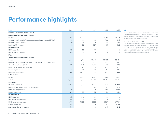### <span id="page-5-0"></span>**Performance highlights**

| <b>DKKm</b>                                                           | 2021     | 2020    | 2019    | 2018    | 2017     |
|-----------------------------------------------------------------------|----------|---------|---------|---------|----------|
| <b>Business performance (Prior to 2021)</b>                           |          |         |         |         |          |
| Statement of comprehensive income                                     |          |         |         |         |          |
| Revenue                                                               | 45,666   | 20,358  | 31,443  | 39.264  | 36,315   |
| Operating profit (loss) before depreciation and amortisation (EBITDA) | 43       | 684     | 880     | 786     | 549      |
| Operating profit (loss) (EBIT)                                        | (78)     | 560     | 729     | 749     | 486      |
| Profit (loss) for the year                                            | 41       | (56)    | (707)   | 459     | 368      |
| <b>Financial ratios</b>                                               |          |         |         |         |          |
| <b>EBITDA</b> margin                                                  | 0%       | 3%      | 3 %     | 2%      | 2%       |
| EBIT margin (profit margin)                                           | n/a      | n/a     | n/a     | 2%      | 1%       |
| IFRS:                                                                 |          |         |         |         |          |
| Statement of comprehensive income                                     |          |         |         |         |          |
| Revenue                                                               | 45,666   | 18,709  | 33,080  | 38,928  | 36,414   |
| Operating profit (loss) before depreciation and amortisation (EBITDA) | 43       | (222)   | 1,827   | 450     | 648      |
| Operating profit (loss) (EBIT)                                        | (78)     | (346)   | 1,676   | 413     | 585      |
| Net financial income and expenses                                     | 119      | (145)   | (87)    | (101)   | (17)     |
| Profit (loss) before tax                                              | 41       | (491)   | 1,588   | 304     | 568      |
| Profit (loss) for the year                                            | 449      | (1,056) | 753     | (157)   | 444      |
| <b>Balance sheet</b>                                                  |          |         |         |         |          |
| Equity                                                                | 6,198    | 8,947   | 10,081  | 9,380   | 9,538    |
| Assets                                                                | 70,517   | 21,507  | 27,596  | 28,394  | 25,409   |
| <b>Cash flows</b>                                                     |          |         |         |         |          |
| Operating activities                                                  | (9, 557) | 1,412   | (1,099) | 1,671   | (1, 429) |
| Investments in property, plant, and equipment                         |          |         | (18)    | (11)    | (14)     |
| Other investing activities                                            | (75)     | 772     | 649     | (730)   | 1,986    |
| <b>Financing activities</b>                                           | 9,891    | (15)    | (79)    | (51)    | (51)     |
| <b>Financial ratios</b>                                               |          |         |         |         |          |
| <b>EBITDA</b> margin                                                  | 0%       | (1 %)   | 6 %     | 1%      | 2%       |
| EBIT margin (profit margin)                                           | O%       | (2 %)   | 5%      | 1%      | 2%       |
| Net interest-bearing debt                                             | 1,955    | (7,521) | (8,303) | (8,969) | (7,749)  |
| Capital employed                                                      | 7,425    | 1,457   | 2,149   | 402     | 1,788    |
| Average number of employees                                           | 304      | 355     | 448     | 149     | 141      |

### $\odot$

Financial ratios have been calculated in accordance with 'Recommendations & Ratios' published by the Danish Society of Financial Analysts. For definitions, see the accounting policies section.

#### **Business performance vs. IFRS**

The income statement (Business performance comparables) shows business performance numbers for 2017-2020 to form a better like-for-like comparison, in line with comparison numbers used throughout the management's review. Please refer to note 2 for ellaboration on Business performance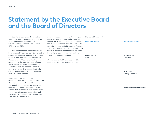### <span id="page-6-0"></span>**Statement by the Executive Board and the Board of Directors**

[The Board of Directors and the Executive](pp://Other statements/Statement by executive and supervisory boards?taxonomy=DKGAAP&labellanguage=en&period=1_Consolidated)  [Board have today considered and approved](pp://Other statements/Statement by executive and supervisory boards?taxonomy=DKGAAP&labellanguage=en&period=1_Consolidated)  [the annual report of Ørsted Salg &](pp://Other statements/Statement by executive and supervisory boards?taxonomy=DKGAAP&labellanguage=en&period=1_Consolidated)  [Service A/S for the financial year 1 January](pp://Other statements/Statement by executive and supervisory boards?taxonomy=DKGAAP&labellanguage=en&period=1_Consolidated)  - 31 [December](pp://Other statements/Statement by executive and supervisory boards?taxonomy=DKGAAP&labellanguage=en&period=1_Consolidated) 2021.

[The consolidated financial statements have](pp://Other statements/Statement by executive and supervisory boards?taxonomy=DKGAAP&labellanguage=en&period=1_Consolidated)  [been prepared in accordance with Internation](pp://Other statements/Statement by executive and supervisory boards?taxonomy=DKGAAP&labellanguage=en&period=1_Consolidated)[al Financial Reporting Standards as adopted](pp://Other statements/Statement by executive and supervisory boards?taxonomy=DKGAAP&labellanguage=en&period=1_Consolidated)  [by the EU and additional requirements in the](pp://Other statements/Statement by executive and supervisory boards?taxonomy=DKGAAP&labellanguage=en&period=1_Consolidated)  [Danish Financial Statements Act. The financial](pp://Other statements/Statement by executive and supervisory boards?taxonomy=DKGAAP&labellanguage=en&period=1_Consolidated)  [statements of the parent company, Ørsted](pp://Other statements/Statement by executive and supervisory boards?taxonomy=DKGAAP&labellanguage=en&period=1_Consolidated)  [Salg & Service A/S, have been prepared in](pp://Other statements/Statement by executive and supervisory boards?taxonomy=DKGAAP&labellanguage=en&period=1_Consolidated)  [accordance with International Financial](pp://Other statements/Statement by executive and supervisory boards?taxonomy=DKGAAP&labellanguage=en&period=1_Consolidated)  [Reporting Standards as adopted by the EU](pp://Other statements/Statement by executive and supervisory boards?taxonomy=DKGAAP&labellanguage=en&period=1_Consolidated)  [and additional requirements in the Danish](pp://Other statements/Statement by executive and supervisory boards?taxonomy=DKGAAP&labellanguage=en&period=1_Consolidated)  [Financial Statements Act.](pp://Other statements/Statement by executive and supervisory boards?taxonomy=DKGAAP&labellanguage=en&period=1_Consolidated)

[In our opinion, the consolidated financial](pp://Other statements/Statement by executive and supervisory boards?taxonomy=DKGAAP&labellanguage=en&period=1_Consolidated)  [statements and the parent company financial](pp://Other statements/Statement by executive and supervisory boards?taxonomy=DKGAAP&labellanguage=en&period=1_Consolidated)  [statements provide a true and fair view of](pp://Other statements/Statement by executive and supervisory boards?taxonomy=DKGAAP&labellanguage=en&period=1_Consolidated)  [the Group's and the parent company's assets,](pp://Other statements/Statement by executive and supervisory boards?taxonomy=DKGAAP&labellanguage=en&period=1_Consolidated)  [liabilities, and financial position at 31 De](pp://Other statements/Statement by executive and supervisory boards?taxonomy=DKGAAP&labellanguage=en&period=1_Consolidated)[cember 2021 and of the results of the Group's](pp://Other statements/Statement by executive and supervisory boards?taxonomy=DKGAAP&labellanguage=en&period=1_Consolidated)  [and the parent company's operations and](pp://Other statements/Statement by executive and supervisory boards?taxonomy=DKGAAP&labellanguage=en&period=1_Consolidated)  [the Group's cash flows for the financial year](pp://Other statements/Statement by executive and supervisory boards?taxonomy=DKGAAP&labellanguage=en&period=1_Consolidated)  1 January - 31 [December 2021.](pp://Other statements/Statement by executive and supervisory boards?taxonomy=DKGAAP&labellanguage=en&period=1_Consolidated) 

[In our opinion, the management's review pro](pp://Other statements/Statement by executive and supervisory boards?taxonomy=DKGAAP&labellanguage=en&period=1_Consolidated)[vides a true and fair account of the develop](pp://Other statements/Statement by executive and supervisory boards?taxonomy=DKGAAP&labellanguage=en&period=1_Consolidated)[ment in the Group's and the parent company's](pp://Other statements/Statement by executive and supervisory boards?taxonomy=DKGAAP&labellanguage=en&period=1_Consolidated)  [operations and financial circumstances, of the](pp://Other statements/Statement by executive and supervisory boards?taxonomy=DKGAAP&labellanguage=en&period=1_Consolidated)  [results for the year, and of the overall financial](pp://Other statements/Statement by executive and supervisory boards?taxonomy=DKGAAP&labellanguage=en&period=1_Consolidated)  [position of the Group and the parent company](pp://Other statements/Statement by executive and supervisory boards?taxonomy=DKGAAP&labellanguage=en&period=1_Consolidated)  [as well as a description of the most significant](pp://Other statements/Statement by executive and supervisory boards?taxonomy=DKGAAP&labellanguage=en&period=1_Consolidated)  [risks and elements of uncertainty facing the](pp://Other statements/Statement by executive and supervisory boards?taxonomy=DKGAAP&labellanguage=en&period=1_Consolidated)  [Group and the parent company.](pp://Other statements/Statement by executive and supervisory boards?taxonomy=DKGAAP&labellanguage=en&period=1_Consolidated)

[We recommend that the annual report be](pp://Other statements/Statement by executive and supervisory boards?taxonomy=DKGAAP&labellanguage=en&period=1_Consolidated)  [adopted at the annual general meeting.](pp://Other statements/Statement by executive and supervisory boards?taxonomy=DKGAAP&labellanguage=en&period=1_Consolidated) 

[Skærbæk,](pp://General Data/Place of signature of statement by management?taxonomy=DKGAAP&labellanguage=en&allowhtml=false&merge=false) [20 June 2022](pp://General Data/Date of approval of annual report?taxonomy=DKGAAP&labellanguage=en&allowhtml=false&merge=false)

**Executive Board: [Martin Neubert](pp://General Data/Name and surname of member of executive board 1?taxonomy=DKGAAP&labellanguage=en&allowhtml=false&merge=false)**  [CEO](pp://General Data/Title of member of executive board 1?taxonomy=DKGAAP&labellanguage=en&allowhtml=false&merge=false)

#### **Board of Directors:**

**[Anja Forup](pp://General Data/Name and surname of member of supervisory board 2?taxonomy=DKGAAP&labellanguage=en&allowhtml=false&merge=false)**

**[Daniel Lerup](pp://General Data/Name and surname of member of supervisory board 1?taxonomy=DKGAAP&labellanguage=en&allowhtml=false&merge=false)** [Chairman](pp://General Data/Title of member of supervisory board 1?taxonomy=DKGAAP&labellanguage=en&allowhtml=false&merge=false)

[Deputy Chairman](pp://General Data/Title of member of supervisory board 2?taxonomy=DKGAAP&labellanguage=en&allowhtml=false&merge=false)

**[Pernille Nygaard Rasmussen](pp://General Data/Name and surname of member of supervisory board 3?taxonomy=DKGAAP&labellanguage=en&allowhtml=false&merge=false)**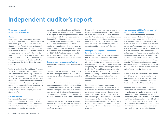### <span id="page-7-0"></span>**Independent auditor's report**

### **To the shareholder of [Ørsted Salg & Service A/S](pp://Auditors report/Addressee?taxonomy=DKGAAP&labellanguage=en&period=1_Consolidated)**

### **Opinion**

In our opinion, the Consolidated Financial Statements and the Parent Company Financial Statements give a true and fair view of the Group's and the Parent Company's financial position at 31 December 2021 and of the results of the Group's and the Parent Company's operations and cash flows for the financial year 1 January to 31 December 2021 in accordance with International Financial Reporting Standards as adopted by the EU and further requirements in the Danish Financial Statements Act.

We have audited the Consolidated Financial Statements and the Parent Company Financial Statements of Ørsted Salg & Service A/S for the financial year 1 January - 31 December 2021, which comprise income statement and statement of comprehensive income, balance [sheet, statement of changes in equity, cash flow](pp://Auditors report/Opinion?taxonomy=DKGAAP&labellanguage=en&period=1_Consolidated)  statement and notes, including a summary of significant accounting policies, for both the Group and the Parent Company ("financial statements").

#### **Basis for opinion**

8

We conducted our audit in accordance with International Standards on Auditing (ISAs) and the additional requirements applicable [in Denmark. Our responsibilities under those](pp://Auditors report/Basis for opinion?taxonomy=DKGAAP&labellanguage=en&period=1_Consolidated)  standards and requirements are further

described in the Auditor's Responsibilities for the Audit of the Financial Statements section [of our report. We are independent of the Group](pp://Auditors report/Basis for opinion?taxonomy=DKGAAP&labellanguage=en&period=1_Consolidated)  in accordance with the International Ethics Standards Board for Accountants' International Code of Ethics for Professional Accountants (IESBA Code) and the additional ethical requirements applicable in Denmark, and we have fulfilled our other ethical responsibilities in accordance with these requirements and the IESBA Code. We believe that the audit evidence we have obtained is sufficient and appropriate to provide a basis for our opinion.

**Statement on Management's Review**

[Management is responsible for Management's](pp://Auditors report/Statement on management)  Review.

Our opinion on the financial statements does not cover Management's Review, and we do not express any form of assurance conclusion thereon.

In connection with our audit of the financial statements, our responsibility is to read Management's Review and, in doing so, consider whether Management's Review is materially inconsistent with the financial statements or our knowledge obtained during the audit, or otherwise appears to be materially misstated.

Moreover, it is our responsibility to consider whether Management's Review provides the information required under the Danish Financial Statements Act.

Based on the work we have performed, in our view, Management's Review is in accordance with the Consolidated Financial Statements [and the Parent Company Financial Statements](pp://Auditors report/Statement on management)  and has been prepared in accordance with the requirements of the Danish Financial Statement Act. We did not identify any material misstatement in Management's Review.

### **Management's responsibilities for the financial statements**

Management is responsible for the preparation of Consolidated Financial Statements and Parent Company Financial Statements that give a true and fair view in accordance with International Financial Reporting Standards as [adopted by the EU and further requirements in](pp://Auditors report/Statement of executive and supervisory board)  the Danish Financial Statements Act, and for such internal control as Management determines is necessary to enable the preparation of financial statements that are free from material misstatement, whether due to fraud or error.

In preparing the financial statements, Management is responsible for assessing the Group's and the Parent Company's ability to continue as a going concern, disclosing, as applicable, matters related to going concern and using the going concern basis of accounting in preparing the financial statements unless Management either intends to liquidate the Group or the Parent Company or to cease operations, or has no realistic alternative but to do so.

### **Auditor's responsibilities for the audit of the financial statements**

Our objectives are to obtain reasonable assurance about whether the financial statements as a whole are free from material misstatement, whether due to fraud or error, and to issue an auditor's report that includes our opinion. Reasonable assurance is a high level of assurance, but is not a guarantee that an audit conducted in accordance with ISAs and the additional requirements applicable in Denmark will always detect a material misstatement when it exists. Misstatements can arise from fraud or error and are considered material if, individually or in the aggregate, [they could reasonably be expected to influence](pp://Auditors report/Statement of auditor)  the economic decisions of users taken on the basis of these financial statements.

As part of an audit conducted in accordance with ISAs and the additional requirements applicable in Denmark, we exercise professional judgment and maintain professional skepticism throughout the audit. We also:

– Identify and assess the risks of material misstatement of the financial statements, whether due to fraud or error, design and perform audit procedures responsive to those risks, and obtain audit evidence that is sufficient and appropriate to provide a basis for our opinion. The risk of not detecting a material misstatement resulting from fraud is higher than for one resulting from error as fraud may involve collusion, forgery,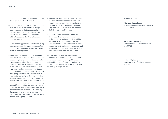intentional omissions, misrepresentations, or the override of internal control.

- Obtain an understanding of internal control relevant to the audit in order to design audit procedures that are appropriate in the circumstances, but not for the purpose of expressing an opinion on the effectiveness of the Group's and the Parent Company's internal control.
- [Evaluate the appropriateness of accounting](pp://Auditors report/Statement of auditor)  policies used and the reasonableness of accounting estimates and related disclosures made by Management.
- Conclude on the appropriateness of Management's use of the going concern basis of accounting in preparing the financial statements and, based on the audit evidence obtained, whether a material uncertainty exists related to events or conditions that may cast significant doubt on the Group's and the Parent Company's ability to continue as a going concern. If we conclude that a material uncertainty exists, we are required to draw attention in our auditor's report to the related disclosures in the financial statements or, if such disclosures are inadequate, to modify our opinion. Our conclusions are based on the audit evidence obtained up to the date of our auditor's report. However, future events or conditions may cause the Group and the Parent Company to cease to continue as a going concern.
- Evaluate the overall presentation, structure and contents of the financial statements, including the disclosures, and whether the financial statements represent the underlying transactions and events in a manner that gives a true and fair view.
- Obtain sufficient appropriate audit evidence regarding the financial information of the entities or business activities within the Group to express an opinion on the Consolidated Financial Statements. We are responsible for the direction, supervision and performance of the group audit. We remain solely responsible for our audit opinion.

We communicate with those charged with governance regarding, among other matters, the planned scope and timing of the audit and significant audit findings, including any [significant deficiencies in internal control that](pp://Auditors report/Statement of auditor)  we identify during our audit.

### [Hellerup](pp://General Data/Signature of auditors, place?taxonomy=DKGAAP&labellanguage=en&allowhtml=false&merge=false), [20 June 2022](pp://General Data/Signature of auditors, date?taxonomy=DKGAAP&labellanguage=en&allowhtml=false&merge=false)

#### **PricewaterhouseCoopers**

Statsautoriseret Revisionspartnerselskab CVR no. [33771231](pp://General Data/Identification number [CVR] of audit firm 1?taxonomy=DKGAAP&labellanguage=en&allowhtml=false&merge=false&skipspace=true)

### **[Rasmus Friis Jørgensen](pp://General Data/Name and surname of auditor 1?taxonomy=DKGAAP&labellanguage=en&allowhtml=false&merge=false)**

[State Authorised Public Accountant](pp://General Data/Description of auditor 1?taxonomy=DKGAAP&labellanguage=en&allowhtml=false&merge=false) [mne28705](pp://General Data/Identification number of auditor 1?taxonomy=DKGAAP&labellanguage=en&allowhtml=false&merge=false)

**[Anders Stig Lauritsen](pp://General Data/Name and surname of auditor 2?taxonomy=DKGAAP&labellanguage=en&allowhtml=false&merge=false)** [State Authorised Public Accountant](pp://General Data/Description of auditor 2?taxonomy=DKGAAP&labellanguage=en&allowhtml=false&merge=false) [mne32800](pp://General Data/Identification number of auditor 2?taxonomy=DKGAAP&labellanguage=en&allowhtml=false&merge=false)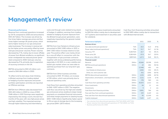### <span id="page-9-0"></span>**Management's review**

#### **Financial performance**

Revenue from continued operations increased by 124 % compared to 2020 and amounted to DKK 45.7 billion. The increase was driven by five times higher average gas prices and four times higher average UK power prices, which led to higher revenue in our gas and power sales businesses. The increase in revenue led by the higher prices was partly offset by lower sold gas and power volumes. Power volumes decreased by 11 %, mainly due to lower offtake of power from Ørsted windfarms, as significant lower windspeeds has reduced power generated compared to 2020. Sold gas volumes decreased by 9 %, primarily due to expiration of sourcing contracts in the UK.

EBITDA amounted to DKK 43 million compared to DKK 684 million in 2020.

To reflect end-to end value chain thinking in Ørsted, earnings from trading related to hedging of power exposures and power portfolio optimisation activities are reported as Offshore earnings.

EBITDA from Offshore sales decreased from DKK 402 million in 2020 to a loss of DKK 1.948 million in 2021. Earnings were negatively impacted by the energy crunch, the last four months of the year, with very high power prices and high volatility. This impacted earnings through higher balancing and intermittency

costs and through costs related to buy-back of hedges. In addition, earnings from trading related to hedging of power exposure from the Ørsted Group's power generation, were negatively impacted by the general market development.

EBITDA from Gas Markets & Infrastructure amounted to DKK 2.082 million in 2021, a DKK 1.550 million increase relative to last year. The positive effect was mainly driven by a one-off effect in connection with the renegotiation of gas purchase contracts together with strong underlying performance, especially in H2 2021, in a very volatile and bullish gas market where we were able to optimise purchase from our long-term gas contracts.

EBITDA from Other business activities amounted to DKK -91 million, an increase of 159 million, which was primarily due to reduced operating costs.

Cash flows from operating activities amounted to DKK -9,557 million in 2021. The negative cash flow was driven by the high and volatile gas and power prices, leading to large margin payments on unrealized financial instruments and initial margin payments to clearing houses (DKK -7,238 million). Significantly higher spend to fill our gas at storage due to the increasing gas prices (DKK -2,873 million).

Cash flows from gross investments amounted to DKK 84 million mainly due to development of IT systems and investment in securities used for collateral.

Cash flow from financing activities amounted to DKK 9.891 million mainly due to transactions with Ørsted internal bank.

| <b>Performance highlights</b>                     |             | 2021     | 2020           | %      |
|---------------------------------------------------|-------------|----------|----------------|--------|
| <b>Business drivers</b>                           |             |          |                |        |
| Gas sales (continued operations) <sup>1</sup>     | TWh         | 45.5     | 51.0           | (9% )  |
| Power sales (continued operations) <sup>2</sup>   | <b>TWh</b>  | 32.7     | 36.7           | (11%)  |
| Gas price, TTF                                    | EUR/MWh     | 45.7     | 9.3            | 391%   |
| Power price, DK                                   | EUR/MWh     | 87.8     | 26.7           | 229 %  |
| Power price, LEBA UK                              | GBP/MWh     | 147.5    | 36.8           | 301 %  |
| Financial results $3$                             |             |          |                |        |
| Revenue                                           | <b>DKKm</b> | 45,666   | 20,358         | 124 %  |
| <b>EBITDA</b> (continued operations)              | <b>DKKm</b> | 43       | 684            | (94%   |
| Offshore                                          |             | (1,948)  | 402            | n/a    |
| Gas Markets & Infrastructure                      |             | 2,082    | 532            | 291 %  |
| Other, incl. end-customer sale                    |             | (91)     | (250)          | (64%   |
| <b>EBITDA</b> (discontinued operations)           | <b>DKKm</b> | (155)    | (408)          | (62 %) |
| Depreciation, amortisation, and impairment losses | <b>DKKm</b> | (121)    | (124)          | (2 %)  |
| EBIT                                              | <b>DKKm</b> | (78)     | 560            | n/a    |
| Cash flows from operating activities              | <b>DKKm</b> | (9, 557) | 1,412          | n/a    |
| Gross investments                                 | <b>DKKm</b> | 84       | 11             | n/a    |
| <b>Divestments</b>                                | <b>DKKm</b> | 9        | $\overline{2}$ | n/a    |
| Cash flows from financing activites               | <b>DKKm</b> | 9,891    | 766            | n/a    |
| Free cash flow from continued operations          | <b>DKKm</b> | 259      | 2,169          | n/a    |
| Free cash flow from discontinued operations       | <b>DKKm</b> | 90       | (2,169)        | n/a    |
| Capital employed                                  | <b>DKKm</b> | 7,425    | 1,457          | n/a    |

1 Gas volumes from discontinued operations 15.8 TWh (2020: 40.9 TWh)

<sup>2</sup> Power volumes from discontinued operations 3.1 TWh (2020: 4.4 TWh)

<sup>3</sup> Business performance for 2020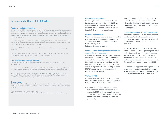### **Introduction to Ørsted Salg & Service**

#### **Route-to-market and trading**

We serve as an efficient route-to-market for both Ørsted companies and external partners, by providing balancing services for renewable generation portfolios and by selling green certificates to the market. In doing so, we manage large volumes of power contracts that we optimise by leveraging the size of our combined portfolio as well as our origination and trading capabilities.

We proactively manage the merchant risks arising from Ørsteds generation assets and contracts by trading commodities, and we mitigate risks and create value through timeto-market decisions, proxy hedging, and netting.

We ensure efficient operations and maximise the commercial value of our legacy gas portfolio.

We are utilizing our gas and power portfolio by part of the volumes being sold to our B2B customers in Denmark and the southern part of Sweden.

#### **Gas pipelines and storage facilities**

We handle the commercial activities relating to parts of the Ørsted Group's gas infrastructure.

We own pipelines in the Danish sector of the North Sea and have leased capacity across the European pipeline system, securing access to most gas markets in Northern Europe.

We have access to gas storage facilities in Denmark and Germany where we have capacity in the short and long term. Besides a higher security of supply, these storage facilities provide flexibility in our gas optimisation and trading.

#### **Environment**

As part of the Ørsted Group, we work for an increase in the use of renewable energy, while remaining dependent on traditional energy sources to ensure a stable distribution of power.

Reference is made to the Ørsted Group's 2021 annual report, which includes the Group's statutory environmental statement.

#### **Discontinued operations**

Following the decision to exit our UK B2B business, partly divested in March 2021, we have decided to present this activity as discontinued operations. Reference is made to note 11 'Discontinued operations'.

#### **Business performance**

Ørsted has decided ceasing to report according to the business performance principle as of 1 January 2021 and applying hedge accounting from 1 January 2021. Reference is made to note 2.

**Earnings related to expected development assumed in previous report**

Financial performance for 2021 was below expectations primarily driven by lower earnings in our Offshore related trading activities combined with the energy crunch. However this was partly offset by one-off effects from our gas sourcing contract. Consequently, realised EBITDA ended lower than our expected range for 2021 of 0.3-0.5 bDKK.

### **Outlook 2022**

For the Ørsted Salg & Service Group, a higher EBITDA is expected for 2022. EBITDA is expected to total DKK 0.7 - 1.0 billion in 2022.

– Earnings from trading related to hedging of our power exposure is expected to be positive in 2022, with less negative impact from energy crunch, but continued negative impact from high balancing and intermittency costs.

– In 2022, earnings in 'Gas Markets & Infrastructure', is expect earnings to be fairly limited, reflecting normal margins on these activities compared to extraordinary high earnings in 2021.

#### **Events after the end of the financial year**

In the beginning of June 2022 Gazprom Export has decided to stop the supplies on our long-term gas contract, as we have rejected Gazprom Export's demands for payment in roubles.

Since Russia's invasion of Ukraine, we have taken decisions to unwind gas hedges related to the Gazprom Export contract to balance our risk of gas supplies from Russia were terminated. The unwinding of hedges have had negative impact on our earnings from the Gazprom Export sourcing contract in 2022.

The halted gas supplies from Gazprom Export, or any other events occurred after the end of the financial year, have not influenced the evaluation of the annual report for 2021.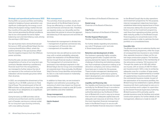#### **Strategic and operational performance 2021**

During 2021, our power portfolio and trading related to hedging of power generation was significant challenged by the energy crunch hitting the European energy market the last four months of the year. But also, less power than normal generated by Ørsted windfarms due to low wind speeds has led to higher balancing cost and intermittency costs, driving the earnings in 2021 down.

Our gas business had a strong financial performance in 2021, giving Ørsted Salg & Service a strong diversification effect, where the positive earnings in the gas business offsetting the negative impacts from the Offshore power activities.

During the year, we also concluded the renegotiations of some of our long-term gas contracts. Besides obtaining a satisfactory financial result from the renegotiations, we managed to further reduce the risk of our exposure in the contracts as the future indexation will be towards aas prices rather than oil prices.

In 2021, we completed the divestment of the majority of our UK B2B customers to Total Gas & Power. The remaining part of the UK B2B activities will be phased out in step with the expiry of our obligations, to a significant extent during 2022.

Going forward, our B2B activities will be centred around Denmark and the southern part of Sweden, serving as a natural outlet for our long-term gas sourcing contracts, with cross-selling of power.

#### **Risk management**

The activities, financial position, results, and future growth of the Ørsted Salg & Service Group are affected by a number of non-financial and financial commercial risks. Therefore, we regularly review our risk profile and the associated risk policies to ensure the appropriate balancing of risk exposure and activities at all times.

Formalised risk management is divided into:

- management of general commercial risks,
- management of financial risks and
- management of insurable risks.

Commercial risks are defined as events that may, with a certain probability, adversely impact the realisation of the Ørsted Salg & Service Group's financial results or strategy. The management of commercial risks is anchored in the individual segments in the Ørsted Salg & Service Group and consolidated at corporate level. Once annually, the Ørsted Salg & Service Group identifies and prioritises its risks in a risk matrix based on materiality and probability.

In addition to these risks, we are involved in litigation and arbitration proceedings, the outcome of which may impact our financial position. Reference is made to note 28 'Contingent liabilities and other liabilities'.

### **Group management**

The member of the Executive Board is:

**Martin Neubert** CEO

The members of the Board of Directors are:

#### **Daniel Lerup**

Chairman of the Board of Directors.

**Anja Forup** Deputy Chairman of the Board of Directors.

### **Pernille Nygaard Rasmussen** Member of the Board of Directors.

For further details regarding remuneration, see note 5 'Employee costs' and note 6 'Share-based payment'.

#### **Retention and development of skills**

Our business is generally highly complex, requiring special skills. Coupled with the growing demand for talent, this increases the challenge of attracting and retaining employees. Much emphasis is placed on making us an attractive workplace, and various initiatives have been put in motion for this purpose. These include management development, skills development, performance systems, talent development, and collaboration with educational institutions.

#### **Liquidity and financing risks**

Our liquidity and financing risks are managed centrally by the Ørsted Group in accordance with the defined principles and delegated authorities laid down by the Board of Directors of Ørsted A/S, in such a way as to ensure that we have an adequate capital base and adequate cash resources at all times. One of the most important financial management tasks in the Ørsted Group is to secure sufficient and flexible financial resources in relation

to the Ørsted Group's day-to-day operations and investment programme. For this purpose, internal management objectives have been established determining required level of financial resources, taking into account primarily factors such as the investment programme, cash flows from operating activities, and the debt maturity profile. It is the Ørsted Group's financing policy to concentrate loans in the parent company in order to optimise the loan portfolio on a consolidated basis.

### **Insurable risks**

The Ørsted Group has an extensive facility and liability insurance programme, while the scope of consequential loss insurance is very limited. Also, separate insurance is taken out for certain large construction projects. The facilities insurance largely relates to the membership of the reinsurance company ´Oil Insurance Ltd.´ Through this, assets up to USD 450 million are insured, with an excess of USD 10 million per insurance event. With a view to achieving adequate cover for a number of large assets, this cover has been supplemented by a number of supplementary insurance policies through the commercial insurance market. As part of the optimisation of its insurance portfolio, the Ørsted Group has established a captive, Ørsted Insurance A/S, that is authorised to carry on insurance business and is subject to supervision by the Danish Financial Supervisory Authority. Ørsted Insurance A/S is primarily used to provide insurance cover for facilities and certain construction projects. For further details of risk management, reference is made to note 27.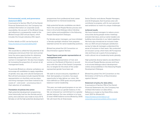### **Environmental, social, and governance statement (ESG)**

In pursuance to Section 99a (7) of the Danish Financial Statements Act, the Company has omitted information on corporate social resonsibility. We are part of the Ørsted Group, and reference is consequently made to the Ørsted Group's 2021 annual report, which includes the Group's statutory ESG report.

Further details on ESG can be found at https://orsted.com/sustainability2021

### **Policies**

We would like to unfold the full potential of all employees and ensure that men and women have the same opportunities for obtaining leadership positions. We have a policy on women in management. We also have targets for increasing the proportion of women at all management levels.

To promote Ørsted as a diverse workplace, we encourage all candidates to apply, regardless of gender, race, age, and cultural background. Recruitment processes include required female representation on shortlists, and recruiters and hiring managers have been trained to be aware of – and avoid – unconscious bias in their selection of candidates.

#### **Translation of policies into action**

High-potential development programmes have historically had too few female participants, and a decision was made to have 30 % females on all the high-potential development programmes from professional level career development to mid-level leadership.

High-potential female candidates are identified in the annual People Review process and have a structured dialogue about development wishes and possibilities in the following People Development Dialogue.

For female senior managers, we have initiated a 'female spotlight initiative' that prepares talented women for senior leadership positions.

Ørsted has joined the UN Convention on Discrimination against Women.

### **Target figures and gender representation at management level**

Due to equal representation of men and women on the Board of Directors in accordance with the rules of the Danish Companies Act, no targets for the share of the underrepresented gender have been set.

We seek to ensure everyone, regardless of their demography or location, has equal opportunity to help deliver our vision. We have defined our 2030 goals around gender balance in senior leadership.

This year, we made good progress on our ambition to improve our gender balance. In the fall, we renewed our commitment to a greater gender balance. Our new ambition is to have [at least 40/60 balance across Ørsted by 2030.](pp://General Data/Link to statement of target figures and policies for the underrepresented gender?taxonomy=DKGAAP&labellanguage=en&allowhtml=false&merge=false)  We will track this at three levels:

Senior Director and above; People Managers; and All Employees. Each business area will contribute to progress, with its own personalised ambitions to match its unique challenges.

### **Achieved results**

We have trained managers to reduce unconscious bias during people review meetings and job interviews, and our senior leaders are building more diversity in our talent pipelines. We have also introduced an inclusion index into our 2021 annual employee satisfaction survey to help all managers understand the sense of inclusion in their team. We conducted [an inclusion survey which had a 60 % response](pp://General Data/Link to statement of target figures and policies for the underrepresented gender?taxonomy=DKGAAP&labellanguage=en&allowhtml=false&merge=false)  rate and have set a goal of encouraging a multi-cultural mix at leadership levels globally.

High-potential diverse talents are identified in the annual People Review process and have a structured dialogue about development wishes and possibilities in the following People Development Dialogue.

Ørsted has joined 'the UN Convention on the Elimination of All Forms of Discrimination against Women'.

#### **Statement of policy for data ethics**

In pursuance of Section 99d of the Danish Financial Statements Act, the Company has omitted information on data ethics. Reference is made to the Data Ethics statement 2021 for Ørsted A/S: [https://orsted.com/en/about-us/](pp://General Data/Link to statement of policy for data ethics?taxonomy=DKGAAP&labellanguage=en&allowhtml=false&merge=false) [corporate-governance/data-ethics-report](pp://General Data/Link to statement of policy for data ethics?taxonomy=DKGAAP&labellanguage=en&allowhtml=false&merge=false)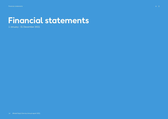# <span id="page-13-0"></span>**Financial statements**

1 January - 31 December 2021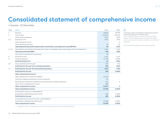### <span id="page-14-0"></span>**Consolidated statement of comprehensive income**

### 1 January - 31 December

| Note           | <b>DKKm</b>                                                                                              | 2021      | 2020      |
|----------------|----------------------------------------------------------------------------------------------------------|-----------|-----------|
| 3              | Revenue                                                                                                  | 45,666    | 18,709    |
| $\overline{4}$ | Cost of sales                                                                                            | (44, 867) | (18, 133) |
|                | Other external expenses                                                                                  | (513)     | (529)     |
| 5, 6           | Employee costs                                                                                           | (241)     | (275)     |
|                | Other operating income                                                                                   |           | 9         |
|                | Other operating expenses                                                                                 | (2)       | (3)       |
|                | Operating profit (loss) before depreciation, amortisation, and impairment losses (EBITDA)                | 43        | (222)     |
| 12, 13         | Depreciation, amortisation and impairment losses on intangible assets and property, plant, and equipment | (121)     | (124)     |
|                | <b>Operating profit (loss) (EBIT)</b>                                                                    | (78)      | (346)     |
|                | Gain (loss) on divestment of enterprises                                                                 | (2)       |           |
| 8              | Financial income                                                                                         | 1,491     | 1,147     |
| 9              | <b>Financial expenses</b>                                                                                | (1,370)   | (1, 292)  |
|                | Profit (loss) before tax                                                                                 | 41        | (491)     |
| 10             | Tax on profit (loss) for the year                                                                        | 523       | 181       |
|                | Profit (loss) for the year from continuing operations                                                    | 564       | (310)     |
| 11             | Profit (loss) for the year from discontinued operations                                                  | (115)     | (746)     |
|                | Profit (loss) for the year                                                                               | 449       | (1,056)   |
|                | Other comprehensive income <sup>1</sup> :                                                                |           |           |
|                | Value adjustments of cash flow hedging                                                                   | (4,154)   |           |
|                | Cash flow hedging transferred to income statement                                                        | 81        |           |
|                | Exchange rate adjustments relating to net investments in foreign enterprises                             | (22)      | 4         |
|                | Tax on other comprehensive income                                                                        | 898       |           |
|                | Other comprehensive income                                                                               | (3, 197)  | 4         |
|                | Total comprehensive income                                                                               | (2,748)   | (1,052)   |
|                | Profit (loss) for the year is attributable to:                                                           |           |           |
|                | Shareholder in Ørsted Salg & Service A/S                                                                 | 449       | (1,056)   |
|                | Profit (loss) for the year                                                                               | 449       | (1,056)   |
|                | Comprehensive income for the year is attributable to:                                                    |           |           |
|                | Shareholder in Ørsted Salg & Service A/S                                                                 | (2,748)   | (1,052)   |
|                | Total comprehensive income                                                                               | (2,748)   | (1,052)   |

 $\odot$ **Ceasing to report according to the business performance principle as of 1 January 2021** From 1 January 2021, we have only reported IFRS

figures. Thus the business performance and adjustment columns are no longer included in our financial reporting.

See note 30 'Description of accounting policies'.

1 All items in "Other comprehensive income" may be recycled to the income statement.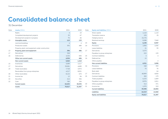### <span id="page-15-0"></span>**Consolidated balance sheet**

31 December

| Note | Assets, DKKm                                      | 2021           | 2020                     | Note             | <b>Equity and liabilities, DKKm</b> | 2021                     | 2020           |
|------|---------------------------------------------------|----------------|--------------------------|------------------|-------------------------------------|--------------------------|----------------|
|      | Rights                                            | $\overline{4}$ | 10                       |                  | Share capital                       | 1,110                    | 1,110          |
|      | Completed development projects                    | 35             | 67                       |                  | Translation reserve                 | (25)                     | (3)            |
|      | Development projects in progress                  | 76             | 46                       |                  | Hedging reserve                     | (3, 175)                 |                |
| 12   | Intangible assets                                 | 115            | 123                      |                  | Retained earnings                   | 8,288                    | 7,840          |
|      | Land and buildings                                | $\overline{4}$ | $\overline{\mathcal{A}}$ | 23               | Equity                              | 6,198                    | 8,947          |
|      | <b>Production assets</b>                          | 392            | 480                      | 24               | Provisions                          | 1,084                    | 1,826          |
|      | Property, plant, and equipment under construction |                | $\overline{2}$           |                  | Lease liabilities                   | 21                       | 93             |
| 13   | Property, plant and equipment                     | 396            | 486                      | 17               | Derivatives                         | 3,275                    |                |
| 17   | Derivatives                                       | 328            |                          |                  | Payables to group enterprises       | 522                      | 133            |
| 16   | Deferred tax                                      | 4,226          | 606                      | 25               | <b>Contract liabilities</b>         | $\overline{\mathcal{A}}$ | $\overline{A}$ |
|      | Other non-current assets                          | 4,554          | 606                      | 16               | Deferred tax                        | 15                       |                |
|      | <b>Non-current assets</b>                         | 5.065          | 1,215                    |                  | Other paybles                       |                          | $\overline{2}$ |
| 15   | Inventories                                       | 5,089          | 2,217                    |                  | <b>Non-current liabilities</b>      | 4,921                    | 2,058          |
| 17   | Derivatives                                       | 39,081         | 4,680                    | 24               | Provisions                          | 348                      | 393            |
| 19   | Trade receivables                                 | 7,728          | 3.973                    |                  | Lease liabilities                   | 75                       | 76             |
|      | Receivables from group enterprises                | 4,217          | 8,051                    |                  | Bank debt                           |                          | 64             |
| 20   | Other receivables                                 | 8,122          | 675                      | 17               | Derivatives                         | 40,899                   | 4,820          |
| 21   | Income tax                                        | 12             | 84                       | 25               | <b>Contract liabilities</b>         | 383                      | 179            |
| 22   | Securities                                        | 414            | 356                      |                  | Trade payables                      | 6,233                    | 2,469          |
| 22   | Cash                                              | 789            | 256                      |                  | Payables to group enterprises       | 8,976                    | 1,811          |
|      | <b>Current assets</b>                             | 65,452         | 20,292                   | 20               | Other payables                      | 514                      | 371            |
|      | Assets                                            | 70,517         | 21,507                   | 21<br>Income tax |                                     | 1,970                    | 319            |
|      |                                                   |                |                          |                  | <b>Current liabilities</b>          | 59.398                   | 10,502         |

**Liabilities 64,319 12,560 Equity and liabilities 70,517 21,507**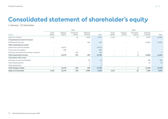### <span id="page-16-0"></span>**Consolidated statement of shareholder's equity**

1 January - 31 December

|                                              |                          |                    | 2021                   |                          |                |                          |                          | 2020                     |                          |                          |
|----------------------------------------------|--------------------------|--------------------|------------------------|--------------------------|----------------|--------------------------|--------------------------|--------------------------|--------------------------|--------------------------|
| <b>DKKm</b>                                  | Share<br>capital         | Hedging<br>reserve | Translation<br>reserve | Retained<br>earnings     | Total          | Share<br>capital         | Hedging<br>reserve       | Translation<br>reserve   | Retained<br>earnings     | Total                    |
| Equity at 1 January                          | 1,110                    |                    | (3)                    | 7,840                    | 8,947          | 1,110                    | $\overline{\phantom{a}}$ | (7)                      | 8,978                    | 10,081                   |
| Comprehensive income for the year:           |                          |                    |                        |                          |                |                          |                          |                          |                          |                          |
| Profit (loss) for the year                   |                          |                    |                        | 449                      | 449            |                          |                          | $\sim$                   | (1,056)                  | (1,056)                  |
| Other comprehensive income:                  |                          |                    |                        |                          |                |                          |                          |                          |                          |                          |
| Impact from cash flow hedging                | $\overline{\phantom{a}}$ | (4,073)            |                        | $\overline{\phantom{a}}$ | (4,073)        |                          |                          |                          |                          |                          |
| Tax on cash flow hedging                     | $\overline{\phantom{a}}$ | 898                |                        | $\overline{\phantom{a}}$ | 898            |                          |                          |                          | $\overline{\phantom{a}}$ | $\overline{\phantom{a}}$ |
| Exchange rate adjustments, foreign companies |                          |                    | (22)                   | $\overline{\phantom{a}}$ | (22)           | $\overline{\phantom{a}}$ |                          | 4                        | $\sim$                   | $\overline{4}$           |
| Total comprehensive income                   | ж.                       | (3, 175)           | (22)                   | 449                      | (2,748)        |                          | ٠                        | 4                        | (1,056)                  | (1,052)                  |
| <b>Transactions with owners:</b>             |                          |                    |                        |                          |                |                          |                          |                          |                          |                          |
| Demerger of assets and liabilities           |                          |                    |                        | (5)                      | (5)            |                          |                          | $\overline{\phantom{a}}$ | (80)                     | (80)                     |
| Share-based payment                          |                          |                    |                        |                          |                | $\overline{\phantom{0}}$ |                          | $\sim$                   | (2)                      | (2)                      |
| Other adjustments                            | $\sim$                   |                    |                        | 3                        | $\overline{3}$ | $\overline{\phantom{a}}$ | $\overline{\phantom{a}}$ | $\overline{\phantom{a}}$ | $\overline{\phantom{a}}$ | $\sim$                   |
| Total changes in equity                      |                          | (3, 175)           | (22)                   | 448                      | (2,749)        | $\overline{\phantom{a}}$ | ٠                        | 4                        | (1, 138)                 | (1, 134)                 |
| <b>Equity at 31 December</b>                 | 1,110                    | (3, 175)           | (25)                   | 8,288                    | 6,198          | 1,110                    |                          | (3)                      | 7,840                    | 8,947                    |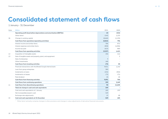### <span id="page-17-0"></span>**Consolidated statement of cash flows**

1 January - 31 December

| Note | <b>DKKm</b>                                                            | 2021     | 2020     |
|------|------------------------------------------------------------------------|----------|----------|
|      | Operating profit (loss) before depreciations and amortisation (EBITDA) | 43       | (222)    |
|      | Other items <sup>1</sup>                                               | (245)    | 2,153    |
| 26   | Change in working capital                                              | (8,660)  | (1, 135) |
|      | Cash flows from operations (operating activities)                      | (8,862)  | 796      |
|      | Interest income and similar items                                      | 786      | 872      |
|      | Interest expenses and similar items                                    | (858)    | (1,056)  |
|      | Income tax paid                                                        | (623)    | 800      |
|      | Cash flows from operating activities                                   | (9, 557) | 1,412    |
| 12   | Acquisition of intangible assets                                       | (36)     | (11)     |
| 13   | Sale of tangible assets and property, plant, and equipment             |          | 2        |
|      | Sale of enterprises                                                    | 9        |          |
|      | Other Investments                                                      | (48)     |          |
|      | Cash flows from investing activities                                   | (75)     | (9)      |
|      | Financial transactions with the Ørsted Group's internal bank           | 9,821    | 1,142    |
|      | Loan from group enterprises                                            | 380      |          |
|      | Instalments on loans                                                   | (232)    | (302)    |
|      | Instalments on leases                                                  | (73)     | (71)     |
|      | Paid dividend                                                          | (5)      | (3)      |
|      | Cash flows from financing activities                                   | 9,891    | 766      |
|      | Cash flows from continuing operations                                  | 259      | 2,169    |
| 11   | Cash flows from discontinuing operations                               | 90       | (2,169)  |
|      | Total net change in cash and cash equivalents                          | 349      |          |
|      | Cash and cash equivalents at 1 January                                 | 185      | 193      |
|      | Net increase/(decrease) in cash                                        | 349      |          |
|      | Exchange rate adjustments                                              | 15       | (8)      |
| 22   | Cash and cash equivalents at 31 December                               | 549      | 185      |

 $^{\rm 1}$   $\,$  'Other items' primarily comprise changes in other provisions and changes in value adjustments of derivative financial instruments.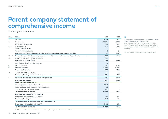### <span id="page-18-0"></span>**Parent company statement of comprehensive income**

1 January - 31 December

| <b>Note</b> | <b>DKKm</b>                                                                                             | 2021     | 2020         |
|-------------|---------------------------------------------------------------------------------------------------------|----------|--------------|
| 3           | Revenue                                                                                                 | 45,785   | 20,519       |
| 4           | Cost of sales                                                                                           | (44,981) | (19, 922)    |
|             | Other external expenses                                                                                 | (485)    | (517)        |
| 5,6         | Employee costs                                                                                          | (238)    | (254)        |
|             | Other operating income                                                                                  |          | $\mathsf{Q}$ |
|             | Other operating expenses                                                                                | (2)      | (4)          |
|             | Operating profit (loss) before depreciation, amortisation and impairment losses (EBITDA)                | 79       | (169)        |
| 12, 13      | Depreciation, amortisation and impairment losses on intangible assets and property, plant and equipment | (120)    | (111)        |
| 14          | Impairment on investments in subsidiaries                                                               | (852)    |              |
|             | <b>Operating profit (loss) (EBIT)</b>                                                                   | (893)    | (280)        |
|             | Gain (loss) on divestment of enterprises                                                                | (1)      |              |
| 8           | Financial income                                                                                        | 1,505    | 1,143        |
| 9           | <b>Financial expenses</b>                                                                               | (1, 359) | (1, 295)     |
|             | Profit (loss) before tax                                                                                | (748)    | (432)        |
| 10          | Tax on profit (loss) for the year                                                                       | 512      | 173          |
|             | Profit (loss) for the year from continuing operations                                                   | (236)    | (259)        |
| 11          | Profit (loss) for the year from discontinued operations                                                 | (31)     | (379)        |
|             | Profit (loss) for the year                                                                              | (267)    | (638)        |
|             | Other comprehensive income <sup>1</sup> :                                                               |          |              |
|             | Value adjustments of cash flow hedging                                                                  | (4,154)  |              |
|             | Cash flow hedging transferred to income statement                                                       | 81       |              |
|             | Tax on other comprehensive income                                                                       | 898      |              |
|             | Total comprehensive income                                                                              | (3, 442) | (638)        |
|             | Profit (loss) for the year is attributable to:                                                          |          |              |
|             | Shareholder in Ørsted Salg & Service A/S                                                                | (267)    | (638)        |
|             | Profit (loss) for the year                                                                              | (267)    | (638)        |
|             | Total comprehensive income for the year is attributable to:                                             |          |              |
|             | Shareholder in Ørsted Salg & Service A/S                                                                | (3, 442) | (638)        |
|             | Total comprehensive income                                                                              | (3, 442) | (638)        |

 $\bigoplus$ 

**Ceasing to report according to the business performance principle as of 1 January 2021** From 1 January 2021, we have only reported IFRS figures. Thus the business performance and adjust-

ment columns are no longer included in our financial reporting.

See note 30 'Description of accounting policies'.

 $\leftarrow$   $\equiv$ 

1 All items in "Other comprehensive income" may be recycled to the income statement.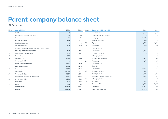### <span id="page-19-0"></span>**Parent company balance sheet**

31 December

| Note | Assets, DKKm                                      | 2021           | 2020           | Note | <b>Equity and liabilities, DKKm</b> | 2021     | 2020           |
|------|---------------------------------------------------|----------------|----------------|------|-------------------------------------|----------|----------------|
|      | Rights                                            | $\overline{4}$ | $\overline{4}$ |      | Share capital                       | 1,110    | 1,110          |
|      | Completed development projects                    | 35             | 68             |      | Development costs reserve           | 110      | 89             |
|      | Development projects in progress                  | 75             | 45             |      | Hedging reserve                     | (3, 175) |                |
| 12   | Intangible assets                                 | 114            | 117            |      | Retained earnings                   | 7,858    | 8,149          |
|      | Land and buildings                                | $\overline{2}$ | 2              | 23   | Equity                              | 5,903    | 9,348          |
|      | Production assets                                 | 392            | 479            | 24   | Provisions                          | 1,529    | 2,270          |
|      | Property, plant, and equipment under construction |                | $\overline{2}$ |      | Lease liabilities                   | 19       | 91             |
| 13   | Property, plant and equipment                     | 394            | 483            | 17   | Derivatives                         | 3,275    |                |
| 14   | Investments in subsidiaries                       | 262            | 287            | 25   | <b>Contract liabilities</b>         |          | $\overline{4}$ |
| 17   | Derivatives                                       | 328            |                |      | Other payables                      |          | 2              |
| 16   | Deferred tax                                      | 4,226          | 580            |      | <b>Non-current liabilities</b>      | 4,827    | 2,367          |
|      | Other receivables                                 |                | 3              | 24   | Provisions                          | 170      | 176            |
|      | Other non-current assets                          | 4,817          | 870            |      | Lease liabilities                   | 75       | 76             |
|      | Non-current assets                                | 5,325          | 1,470          |      | Bank debt                           |          | 64             |
| 15   | Inventories                                       | 5,088          | 2,215          | 17   | Derivatives                         | 40,863   | 4,814          |
| 17   | Derivatives                                       | 39,044         | 4,674          | 25   | <b>Contract liabilities</b>         | 383      | 179            |
| 19   | Trade receivables                                 | 5,639          | 2,258          |      | Trade payables                      | 5,807    | 2,057          |
|      | Receivables from group enterprises                | 5,337          | 9,408          |      | Payables to group enterprises       | 8,991    | 1,472          |
| 20   | Other receivables                                 | 8,100          | 566            | 20   | Other payables                      | 147      | 139            |
| 22   | Securities                                        | 414            | 356            | 21   | Income tax                          | 2,049    | 315            |
| 22   | Cash                                              | 268            | 60             |      | <b>Current liabilities</b>          | 58,485   | 9,292          |
|      | <b>Current assets</b>                             | 63,890         | 19,537         |      | <b>Liabilities</b>                  | 63,312   | 11,659         |
|      | Assets                                            | 69,215         | 21,007         |      | <b>Equity and liabilities</b>       | 69,215   | 21,007         |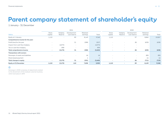### <span id="page-20-0"></span>**Parent company statement of shareholder's equity**

1 January - 31 December

|                                    | 2021             |                          |                             |                      | 2020     |                  |                          |                             |                          |        |
|------------------------------------|------------------|--------------------------|-----------------------------|----------------------|----------|------------------|--------------------------|-----------------------------|--------------------------|--------|
| <b>DKKm</b>                        | Share<br>capital | Hedging<br>Reserve       | Development<br>cost reserve | Retained<br>earnings | Total    | Share<br>capital | Hedging<br>Reserve       | Development<br>cost reserve | Retained<br>earnings     | Total  |
| Equity at 1 January                | 1,110            | $\overline{\phantom{a}}$ | 89                          | 8,149                | 9,348    | 1,110            |                          | 97                          | 8,860                    | 10,067 |
| Comprehensive income for the year: |                  |                          |                             |                      |          |                  |                          |                             |                          |        |
| Profit (loss) for the year         | $\sim$           | $\overline{\phantom{a}}$ | 21                          | (288)                | (267)    |                  | $\overline{\phantom{0}}$ | (8)                         | (630)                    | (638)  |
| Impact from cash flow hedging      | $\sim$           | (4,073)                  |                             | $\sim$               | (4,073)  |                  |                          | $\overline{\phantom{a}}$    | $\overline{\phantom{a}}$ | $\sim$ |
| Tax on cash flow hedging           | $\sim$           | 898                      | $\overline{\phantom{a}}$    | $\sim$               | 898      | $\sim$           |                          | $\sim$                      | $\overline{\phantom{a}}$ | $\sim$ |
| Total comprehensive income         | ٠                | (3, 175)                 | 21                          | (288)                | (3, 442) | $\sim$           | $\sim$                   | (8)                         | (630)                    | (638)  |
| <b>Transactions with owners:</b>   |                  |                          |                             |                      |          |                  |                          |                             |                          |        |
| Demerger of assets and liabilities |                  |                          | $\overline{\phantom{a}}$    | (4)                  | (4)      |                  |                          | $\overline{\phantom{a}}$    | (80)                     | (80)   |
| Share-based payment                |                  |                          |                             |                      |          | $\sim$           | $\overline{\phantom{0}}$ | $\sim$                      | (1)                      | (1)    |
| Total changes in equity            | ٠                | (3, 175)                 | 21                          | (291)                | (3, 445) |                  |                          | (8)                         | (711)                    | (719)  |
| <b>Equity at 31 December</b>       | 1,110            | (3, 175)                 | 110                         | 7,858                | 5,903    | 1,110            | $\overline{\phantom{a}}$ | 89                          | 8,149                    | 9,348  |

### $\odot$

Demerger in 2020 comprises of adjustments related to the divestment of the residual customer business, which took place in 2019.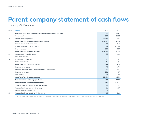### <span id="page-21-0"></span>**Parent company statement of cash flows**

1 January - 31 December

| Note | <b>DKKm</b>                                                           | 2021      | 2020     |
|------|-----------------------------------------------------------------------|-----------|----------|
|      | Operating profit (loss) before depreciation and amortisation (EBITDA) | 79        | (169)    |
|      | Other items <sup>1</sup>                                              | (323)     | 2.111    |
| 26   | Change in working capital                                             | (9,787)   | (208)    |
|      | Cash flows from operations (operating activities)                     | (10, 031) | 1,734    |
|      | Interest income and similar items                                     | 798       | 873      |
|      | Interest expenses and similar items                                   | (849)     | (1,060)  |
|      | Income tax paid                                                       | (600)     | 777      |
|      | Cash flows from operating activities                                  | (10,682)  | 2,324    |
| 12   | Acquisition of intangible assets                                      | (35)      | (11)     |
|      | Sale of enterprises                                                   | $\circ$   |          |
| 14   | Investments in subsidiaries                                           | (827)     | (1)      |
|      | Other investments                                                     | (45)      | (3)      |
|      | Cash flows from investing activities                                  | (898)     | (15)     |
|      | Instalments on leases                                                 | (73)      | (70)     |
|      | Financial transactions with the Ørsted Croup's internal bank          | 11,783    | (277)    |
|      | Instalments on loans                                                  | (232)     | (7)      |
|      | Paid dividend                                                         | (4)       | (2)      |
|      | <b>Cash flows from financing activities</b>                           | 11,474    | (356)    |
|      | Cash flows from continuing operations                                 | 106       | 1,953    |
| 11   | Cash flows from discontinuing operations                              | (67)      | (1, 917) |
|      | Total net change in cash and cash equivalents                         | 39        | 36       |
|      | Cash and cash equivalents at 1 January                                | (11)      | (47)     |
|      | Net increase/(decrease) in cash                                       | 39        | 36       |
| 22   | Cash and cash equivalents at 31 December                              | 28        | (11)     |

 $^{\rm 1}$   $\,$  'Other items' primarily comprise changes in other provisions and changes in value adjustments of derivative financial instruments.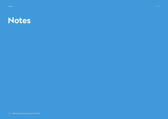<span id="page-22-0"></span>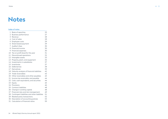### <span id="page-23-0"></span>**Notes**

### **Index of notes**

| 1               | Basis of reporting                           | 25 |
|-----------------|----------------------------------------------|----|
| $\overline{2}$  | <b>Business performance</b>                  | 27 |
| 3               | Revenue                                      | 28 |
| $\overline{4}$  | Cost of sales                                | 28 |
| 5               | Employee costs                               | 29 |
| 6               | Share-based payment                          | 29 |
| 7               | Auditor's fees                               | 30 |
| 8               | Financial income                             | 30 |
| 9               | <b>Financial expenses</b>                    | 30 |
| 10              | Tax on profit (loss) for the year            | 31 |
| 11              | Discontinued operations                      | 32 |
| 12              | Intangible assets                            | 33 |
| 13              | Property, plant, and equipment               | 35 |
| 14              | Investments in subsidiaries                  | 37 |
| 15              | Inventories                                  | 37 |
| 16              | Deferred tax                                 | 38 |
| 17              | Derivatives                                  | 39 |
| 18              | Maturity analysis of financial liabilities   | 42 |
| 19              | Trade receivables                            | 43 |
| 20              | Other receivables and other payables         | 43 |
| 21              | Income tax receivable, and payable           | 44 |
| 22 <sub>1</sub> | Cash, cash equivalents, and securities       | 44 |
| 23              | Equity                                       | 45 |
| 24              | Provisions                                   | 46 |
| 25              | Contract liabilities                         | 48 |
| 26              | Change in working capital                    | 48 |
| 27              | Financial risks and risk management          | 49 |
| 28              | Contingent liabilities and other liabilities | 51 |
| 29              | Related-party transactions                   | 52 |
| 30              | Description of accounting policies           | 53 |
| 31              | Calculation of financial ratios              | 59 |
|                 |                                              |    |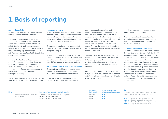### <span id="page-24-0"></span>**1. Basis of reporting**

### **Accounting policies**

Ørsted Salg & Service A/S is a public limited liability company based in Denmark.

The financial statements for the period 1 January - 31 December 2021 comprise the consolidated financial statements of Ørsted Salg & Service A/S and its subsidiaries (the Group) as well as the financial statements of the parent company Ørsted Salg & Service A/S. Reference is made to note 30 'Description of accounting policies'.

The consolidated financial statements and parent financial statements have been prepared in accordance with the International Financial Reporting Standards (IFRS) as adopted by the EU and further requirements in the Danish Financial Statements Act (Årsregnskabsloven).

The financial statements are presented in million Danish kroner (DKK), unless otherwise stated.

#### **Measurement basis**

The consolidated financial statements have been prepared on historical cost basis except for derivatives, financial instruments, and carbon emission allowances in trading portfolio that are measured at market value.

The accounting policies have been applied consistently to the financial year and for the comparative figures.

The accounting policies applied to the consolidated financial statements as a whole and parent financial statements are described in note 30 'Description of accounting policies'.

### **Key accounting estimates and judgements**

The use of reasonable estimates and judgements is an essential part of the preparation of the consolidated financial statements.

Given the uncertainties inherent in our business activities, we make a number of estimates regarding valuation and judgements. The estimates and judgements are based on assumptions concerning future developments which affect our application of accounting policies and reported amounts of our assets, liabilities, sales, costs, cash flows, and related disclosures. Actual amounts may differ from the amounts estimated and estimates made as more detailed information becomes available.

We regularly reassess these estimates and judgements, based among other things on historical experience, the current situation in the financial markets, and a number of other relevant factors, e.g. the expected effects of Brexit.

Accounting estimates, judgements and assumptions which may entail a risk of material adjustments in subsequent years are listed in the table on page 25.

In addition, we make judgements when we apply the accounting policies.

Reference is made to the specific notes for further information on the key accounting estimates and judgements as well as the assumptions applied.

### **Consolidated financial statements**

The consolidated financial statements include the parent company Ørsted Salg & Service A/S and subsidiaries controlled by Ørsted Salg & Service A/S, see the Group structure on page 5. The consolidated financial statements have been prepared as a consolidation of the parent company's and the individual subsidiaries' financial statements prepared in accordance with the Group's accounting policies. Intragroup income and expenses, shareholdings, balances, and dividends as well as realised and unrealised gains and losses arising from intragroup transactions are eliminated at consolidation.

| <b>Note</b> |                                  | Key accounting estimates and judgements     | Estimate/<br>judgement | <b>Extent of accounting</b><br>estimates and judgements |
|-------------|----------------------------------|---------------------------------------------|------------------------|---------------------------------------------------------|
| 23          | Provisions and contingent assets | Assumptions for decommissioning obligations | Estimate               | $\bullet$ $\bullet$ $\circ$ $\circ$                     |
|             | and liabilities                  | Estimate of onerous contracts               | Estimate               | $\bullet$ $\bullet$ $\circ$ $\circ$                     |
|             |                                  | Estimate of litigation outcomes             | Estimate               | $\bullet$ $\bullet$ $\circ$ $\circ$                     |

### $\bigodot$

Extent of accounting estimates and judgements relates to objectivity and business practice.

- Very objective/market-conforming  $\bullet$ 000
- $\bullet\bullet\circ\circ$ Objective/partially conforming
- $\bullet\bullet\bullet\circ$ Partially subjective/partially distinctive
- $\bullet\bullet\bullet\bullet$ Subjective/distinctive for Ørsted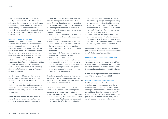If we hold or have the ability to exercise, directly or indirectly, 20-50 % of the voting rights and do not exercise control, such enterprises are accounted for as associates. However, we carry out a specific assessment of our ability to exercise influence, including our ability to influence financial and operational decisions and thus our return.

#### **Foreign currency translation**

For each reporting enterprise in the Group, items are determined in the currency of the primary economic environment in which the individual reporting enterprise operates (functional currency). Transactions in currencies other than the functional currency of each enterprise are accounted for as transactions in foreign currencies and translated on initial recognition at the exchange rate at the transaction date. Exchange differences arising between the exchange rate at the transaction date and at the date of payment are recognised in profit (loss) for the year as financial income or expenses.

Receivables, payables, and other monetary items in foreign currencies are translated at the exchange rates at the balance sheet date. The difference between the exchange rate at the balance sheet date and the date at which the receivable or payable arose is recognised in profit (loss) for the year as financial income or expenses.

For foreign subsidiaries, the statements of comprehensive income are translated at monthly average exchange rates in so far

as these do not deviate materially from the actual exchange rates at the transaction dates. Balance sheet items are translated at the exchange rates at the balance sheet date. All exchange differences are recognised in profit (loss) for the year, except for exchange differences arising on:

- translation of the opening equity of these entities at the exchange rates at the balance sheet date
- translation of the statements of comprehensive income of these enterprises from the exchange rates at the transaction date to the exchange rates at the balance sheet date
- translation of balances accounted for as part of the total net investment
- translation of the portion of loans and derivative financial instruments that has been entered into to hedge the net investment in these enterprises, and that provides an effective hedge against corresponding foreign exchange gains (losses) on the net investment in the enterprise.

The above types of exchange differences are recognised in other comprehensive income. Such exchange rate adjustments are allocated to the parent company's equity.

On full or partial disposal of the net investment, the accumulated exchange rate adjustments are recognised as follows:

– Disposal results in loss of control. The accumulated exchange rate adjustments, including any associated hedges, are recognised in the profit (loss) for the year if a foreign

exchange gain (loss) is realised by the selling enterprise. Any foreign exchange gain (loss) is transferred to the item in which the gain (loss) is recognised. The part of the foreign currency translation reserve that relates to non-controlling interests is not transferred to profit (loss) for the year.

– Disposal does not result in loss of control. A proportionate share of the foreign currency translation reserve is transferred from the parent company shareholders' share of equity to the minority shareholders' share of equity.

Repayment of balances that are considered part of the net investment does not constitute a partial disposal of the subsidiary.

### **Implementation of new standards and interpretations**

We regularly assess the impact of new IFRS standards and interpretations. We implement new IFRS standards and interpretations from their mandatory effective dates at the latest.

We have not implemented any standards (IAS and IFRS) or interpretations in 2021.

#### **New standards and interpretations**

IASB has issued a number of new or amended standards and interpretations which have not yet entered into force, and which have consequently not been incorporated into the consolidated financial statements for 2021. None of these amended standards and interpretations are expected to have any significant impact on our financial statements.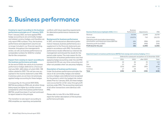### <span id="page-26-0"></span>**2. Business performance**

**Ceasing to report according to the business performance principle as of 1 January 2021** 

From 1 January 2021, we have applied IFRS hedge accounting to all commodity hedges and related currency hedges, and therefore we only report IFRS numbers. Thus, the business performance and adjustment columns are no longer included in our financial reporting. However, throughout the management's review, we will use business performance as comparable numbers for 2020 for a better like-for-like comparison.

### **Impact from ceasing to report according to the business performance principle**

At the end of 2020, the value of our business performance hedges deferred to a future period was DKK -628 million, of which DKK -198 million related to 2021. This net loss was recognised in the income statement under IFRS in previous years, as we have not previously applied hedge accounting for these hedges.

Consequently, for the period 2021-2025, EBITDA (according to IFRS) will, all other things being equal, be higher by a similar amount compared to what the business performance EBITDA would have been if we had continued to report based on this principle.

The transition to sole report accourding to IFRS simplifies our reporting, and potential

conflicts with future reporting requirements for alternative performance measures are avoided.

### **Background for business performance**

In 2011, we introduced an alternative performance measure, business performance, as a supplement to the financial statements prepared in accordance with IFRS. The business performance results reflected our internal risk management and showed the results for the period under review. The main reason for the introduction of business performance was that applying hedge accounting under the old IFRS standard IAS 39 was very time-consuming and often not possible when we use proxy hedging.

### **Description of business performance**

Under the business performance principle, the value of all commodity hedges and related currency hedges were deferred and recognised for the period in which the hedged risk materialised. Prior to 1 January 2021, all these hedges were accounted for at fair value through profit and loss under IFRS. The accounting treatment of all other transactions were identical with IFRS.

Please refer to note 30 in the 2020 annual report for further descriptions of the business performance principle.

| <b>Business Performance highlights 2020, DKKm</b>                                            | <b>Business</b><br>Performance | Adjustments | <b>IFRS</b> |
|----------------------------------------------------------------------------------------------|--------------------------------|-------------|-------------|
| Revenue                                                                                      | 20.358                         | (1.649)     | 18,709      |
| Cost of sales                                                                                | (18, 876)                      | 743         | (18, 133)   |
| Operating profit (loss) before depreciation,<br>amortisation, and impairment losses (EBITDA) | 684                            | (906)       | (222)       |
| Operating profit (loss) (EBIT)                                                               | 560                            | (906)       | (346)       |
| Profit (loss) for the year                                                                   | (56)                           | (1,000)     | (1,056)     |

#### **Expected impact on business performance EBITDA from energy and currency hedging,** DKKm

|          | Deferred for subsequent recognition at 31 December 2020 |       |            |       |  |
|----------|---------------------------------------------------------|-------|------------|-------|--|
|          | 2021                                                    | 2022  | after 2022 | Total |  |
| Oil      | (3)                                                     | (6)   | (3)        | (12)  |  |
| Gas      | 12                                                      | 24    | 23         | 59    |  |
| Power    | (224)                                                   | (187) | (283)      | (694) |  |
| Currency | 17                                                      | (3)   | 5          | 19    |  |
| Total    | (198)                                                   | (172) | (258)      | (628) |  |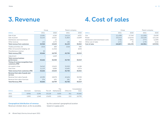### <span id="page-27-0"></span>**3. Revenue**

### **4. Cost of sales**

|                                                       | Group  |         | Parent company |        |
|-------------------------------------------------------|--------|---------|----------------|--------|
| <b>DKKm</b>                                           | 2021   | 2020    | 2021           | 2020   |
| Sale of gas                                           | 13,581 | 4,166   | 14,114         | 4,031  |
| Sale of power                                         | 32,232 | 15,621  | 31,803         | 15,609 |
| Distribution and transmission                         |        | 15      |                |        |
| Other revenue                                         | 155    | (177)   | 186            | 922    |
| <b>Total revenue from customers</b>                   | 45,968 | 19,625  | 46,103         | 20,562 |
| Trading activities, net                               | (322)  | 400     | (318)          | 590    |
| Effect of economic hedging, net                       |        | (1,316) |                | (633)  |
| Miscellaneous revenue                                 | 20     |         |                |        |
| <b>Total revenue, IFRS</b>                            | 45,666 | 18,709  | 45,785         | 20,519 |
| Adjustment                                            |        | 1,649   |                |        |
| <b>Total revenue, business</b>                        |        |         |                |        |
| performance                                           | 45,666 | 20,358  | 45,785         | 20,519 |
| Timing of revenue recognition from<br>customers, IFRS |        |         |                |        |
| At a point in time                                    | 34,543 | 13,625  | 35,303         | 16,188 |
| Over time                                             | 11,123 | 6,000   | 10,482         | 4,374  |
| <b>Total revenue from customers, IFRS</b>             | 45,666 | 19,625  | 45,785         | 20,562 |
| Revenue from sale of goods and<br>services            |        |         |                |        |
| Revenue from sale of goods                            | 45,290 | 18,078  | 45,404         | 20,338 |
| Revenue from sale of services                         | 376    | 631     | 381            | 181    |
| <b>Total Revenue, IFRS</b>                            | 45,666 | 18,709  | 45,785         | 20,519 |

| <b>DKKm</b> | Denmark | Germany |        | The<br>The UK Netherlands | Other, EU | Consolidated<br>total |
|-------------|---------|---------|--------|---------------------------|-----------|-----------------------|
| 2021        | 8.956   | 5.296   | 25.218 | 5.835                     | 361       | 45.666                |
| 2020        | 2.005   | 1.048   | 13.630 | 1.816                     | 210       | 18.709                |

### **Geographical distribution of revenue**

Revenue is broken down, as far as possible,

by the customer's geographical location based on supply point.

|                                     |           | Group     | Parent company |           |  |
|-------------------------------------|-----------|-----------|----------------|-----------|--|
| <b>DKKm</b>                         | 2021      | 2020      | 2021           | 2020      |  |
| Gas                                 | (11, 438) | (2,744)   | (11,505)       | (3,629)   |  |
| Power                               | (32, 512) | (14,674)  | (32, 529)      | (15,110)  |  |
| Distribution and transmission costs | (746)     | (791)     | (777)          | (1,059)   |  |
| Other cost of sales                 | (171)     | 76        | (170)          | (124)     |  |
| Cost of sales                       | (44, 867) | (18, 133) | (44,981)       | (19, 922) |  |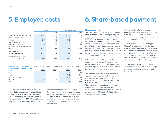### <span id="page-28-0"></span>**5. Employee costs**

|                                             | Group                    |       | Parent company |       |
|---------------------------------------------|--------------------------|-------|----------------|-------|
| <b>DKKm</b>                                 | 2021                     | 2020  | 2021           | 2020  |
| Wages, salaries, and remuneration           | (210)                    | (238) | (213)          | (227) |
| Share-based payment                         | (1)                      | (1)   | (1)            | (1)   |
| Pensions                                    | (21)                     | (19)  | (17)           | (18)  |
| Other social security costs                 | (9)                      | (10)  | (2)            | (1)   |
| Other employee costs                        | $\overline{\phantom{a}}$ | (8)   | (5)            | (8)   |
| Employee costs before transfer to<br>assets | (241)                    | (276) | (238)          | (255) |
| Transfer to assets                          | $\overline{\phantom{a}}$ |       |                |       |
| <b>Total employee costs</b>                 | (241)                    | (275) | (238)          | (254) |
| Number of full-time employees               |                          |       |                |       |
| Average for the financial year              | 304                      | 355   | 256            | 267   |

| <b>Remuneration for the Board of</b>                     |                          |                          | Parent company Board of Directors Parent company Executive Board |       |
|----------------------------------------------------------|--------------------------|--------------------------|------------------------------------------------------------------|-------|
| <b>Directors and the Executive Board,</b><br><b>DKKm</b> | 2021                     | 2020                     | 2021                                                             | 2020  |
| Salary                                                   | $\sim$                   |                          | (2.3)                                                            | (2.0) |
| <b>Bonus</b>                                             | $\overline{\phantom{a}}$ | $\overline{\phantom{a}}$ | (0.2)                                                            | (1.0) |
| Share-based payments                                     | $\overline{\phantom{a}}$ | $\overline{\phantom{a}}$ | (0.1)                                                            | (0.4) |
| Pension                                                  | $\overline{\phantom{a}}$ |                          | (0.1)                                                            | (0.5) |
| Total                                                    | $\overline{\phantom{a}}$ | ۰                        | (2.7)                                                            | (3.9) |

The total remuneration stated in the note only includes remuneration attributable to Ørsted Salg & Service A/S. The Executive Board is made up of one person, which is also Key Management Person (KMP). A bonus plan has been established for the Executive Board.

The contract of service of the Executive Board includes a termination package under which the Executive Board will be entitled to the equivalent of 24 months' salary if their contract of service is terminated by the company. The board of directors has not been paid remuneration.

### **6. Share-based payment**

### **Share programme**

The Executive Board and a limited number of other members of senior management participate in our share programme established in 2016. Today, approximately eight senior executives participate in the programme. As a condition for the award of performance share units (PSUs), the participant must own a number of shares in Ørsted A/S corresponding to a part of the individual participant's annual base salary. The ownership requirement is between 15-75 % of the fixed salary.

If the participants fulfil the shareholding requirement at the time of granting, they will be granted a number of PSUs each year, representing a value of 15-20 %, of the annual fixed salary on the date of granting.

The granted PSUs have a vesting period of approximately three years, after which each PSU entitles the holder, without payment, to receive a number of shares corresponding to 0-200 % of the number of PSUs granted. The vesting is conditional upon continued employment. Assuming no share price development since the grant, the value would correspond to 0-30 % or 0-40 % of the fixed salary on the date of grant.

The final number of shares for each participant will be determined on the basis of the total shareholder return delivered by Ørsted, benchmarked against ten comparable European energy companies.

The highest rate (200 %) will be triggered if Ørsted's results, measured as the total return to shareholders, outperform those of the comparable companies. For each lower ranking, the number of shares granted will fall by 20 percentage points (% points). If, for example, Ørsted ranks third, the participants will be entitled to 160 % of the target.

If Ørsted ranks 11 in the comparison, no shares will be granted to the participants. The right to shares is conditional upon continued employment.

 $\leftarrow$  =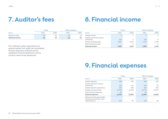### <span id="page-29-0"></span>**7. Auditor's fees 8. Financial income**

|                   | Group |      |      | Parent company |
|-------------------|-------|------|------|----------------|
| <b>DKKm</b>       | 2021  | 2020 | 2021 | 2020           |
| Statutory audit   | (2)   | (2)  |      | (T             |
| Total fees to PwC | (2)   | (2)  | (1)  | $\mathbf{1}$   |

PwC is Ørsted's auditor appointed by the general meeting. PwC audits the consolidated financial statements of Ørsted and the subsidiaries' financial statements in all the countries where we are represented.

|                                           |                          | Group | Parent company           |       |  |
|-------------------------------------------|--------------------------|-------|--------------------------|-------|--|
| <b>DKKm</b>                               | 2021                     | 2020  | 2021                     | 2020  |  |
| Interest income                           | $\overline{2}$           |       | っ                        |       |  |
| Interest income from group<br>enterprises | 228                      | 8     | 228                      | 8     |  |
| Foreign exchange gains                    | 1,261                    | 1,133 | 1,275                    | 1,129 |  |
| Other financial income                    | $\overline{\phantom{a}}$ | 5     | $\overline{\phantom{a}}$ | 5     |  |
| <b>Financial income</b>                   | 1,491                    | 1.147 | 1,505                    | 1,143 |  |

### **9. Financial expenses**

|                                                               | Group    |          | Parent company |          |
|---------------------------------------------------------------|----------|----------|----------------|----------|
| <b>DKKm</b>                                                   | 2021     | 2020     | 2021           | 2020     |
| Interest expenses                                             | (20)     | (16)     | (18)           | (16)     |
| Interest expenses to group<br>enterprises                     | (23)     | (11)     | (16)           | (7)      |
| Interest element of provisions                                | (43)     | (55)     | (43)           | (55)     |
| Foreign exchange losses                                       | (1, 279) | (1,210)  | (1, 277)       | (1,217)  |
| Other financial expenses                                      | (5)      |          | (5)            |          |
| <b>Financial expenses</b>                                     | (1,370)  | (1, 292) | (1,359)        | (1, 295) |
| Revenue for the year includes<br>exchange rate and fair value |          |          |                |          |
| adjustments of:                                               | (27)     | 95       | (27)           | 95       |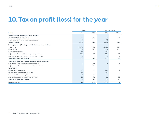### <span id="page-30-0"></span>**10. Tax on profit (loss) for the year**

|                                                                  |         | Group                    |         | Parent company |  |
|------------------------------------------------------------------|---------|--------------------------|---------|----------------|--|
| <b>DKKm</b>                                                      | 2021    | 2020                     | 2021    | 2020           |  |
| Tax for the year can be specified as follows:                    |         |                          |         |                |  |
| Tax on profit (loss) for the year                                | 523     | 181                      | 512     | 173            |  |
| Current tax on other comprehensive income                        | 898     |                          | 898     |                |  |
| Tax for the year                                                 | 1,421   | 181                      | 1,410   | 173            |  |
| Tax on profit (loss) for the year can be broken down as follows: |         |                          |         |                |  |
| Current tax                                                      | (3,484) | (358)                    | (3,498) | (357)          |  |
| Deferred tax                                                     | 3,520   | 466                      | 3,524   | 458            |  |
| Uncertain tax position                                           | 500     | $\overline{\phantom{a}}$ | 500     |                |  |
| Adjustments to current tax in respect of prior years             | (136)   | 72                       | (136)   | 71             |  |
| Adjustments to deferred tax in respect of prior years            | 123     | 1                        | 122     |                |  |
| Tax on profit (loss) for the year                                | 523     | 181                      | 512     | 173            |  |
| Tax on profit (loss) for the year can be explained as follows:   |         |                          |         |                |  |
| Calculated 22.0% tax on profit (loss) before tax                 | (9)     | 108                      | 148     | 95             |  |
| Adjustments of calculated tax in foreign subsidiaries            |         | (11)                     |         |                |  |
| Tax effect of:                                                   |         |                          |         |                |  |
| Non-deductible expenses                                          | 47      | 18                       | (122)   | 7              |  |
| Movement in uncertain tax positions                              | 500     |                          | 500     |                |  |
| Tax effect of tax loss carryforward                              | (2)     | (6)                      |         |                |  |
| Adjustments to tax in respect of prior years                     | (13)    | 72                       | (14)    | 71             |  |
| Tax on profit (loss) for the year                                | 523     | 181                      | 512     | 173            |  |
| <b>Effective tax rate</b>                                        | n.a.    | 37 %                     | 76%     | 40%            |  |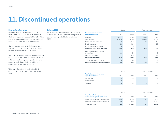### <span id="page-31-0"></span>**11. Discontinued operations**

### **Financial performance**

EBIT from UK B2B business amounts to DKK -93 million (2020: DKK 408 million), including a negative impact of DKK -106 million due to onerous contracts in the remaining UK B2B business, that we have provided for.

Gain on divestments of UK B2B customer contracts amounts to DKK 62 million, including reversal of provisions made in 2020.

Total cash flows from UK B2B business in 2021 amounted to DKK -17 million, of which DKK 1 million where from operating activities, and negative cash flow of DKK -18 million from divestment of the UK B2B business.

Total cash flows from the divested LNG, amounts to DKK 107 million from payment of tax.

### **Outlook 2022**

We expect earnings in the UK B2B business to break even in 2022. The remaining UK B2B business are expected to be terminated in 2022.

|                                                             | Group   |         |         | Parent company |
|-------------------------------------------------------------|---------|---------|---------|----------------|
| <b>Profit from discontinued</b><br><b>operations</b> , DKKm | 2021    | 2020    | 2021    | 2020           |
| Revenue                                                     | 6,721   | 6,750   | 5,664   | 4,826          |
| Cost of sales                                               | (6,801) | (7,075) | (5,664) | (5,125)        |
| Other external expenses                                     | (33)    | (181)   | (40)    | (57)           |
| Employee costs                                              | (41)    | (56)    |         | (19)           |
| Other operating expenses                                    | (1)     | (221)   |         |                |
| <b>Operating profit (loss) (EBITDA)</b>                     | (155)   | (783)   | (40)    | (375)          |
| Gain (loss) on divestment of<br>enterprises                 | 62      | (42)    |         | (42)           |
| <b>Financial expenses</b>                                   | ٠       | (69)    |         | (69)           |
| Profit (loss) before tax                                    | (93)    | (894)   | (40)    | (486)          |
| Tax on profit (loss) for the year                           | (22)    | 148     | $\circ$ | 107            |
| <b>Profit from discontinued operations</b>                  | (115)   | (746)   | (31)    | (379)          |

|                                                    |      | Group                    | Parent company           |      |  |
|----------------------------------------------------|------|--------------------------|--------------------------|------|--|
| Tax for the year, discontinued<br>operations, DKKm | 2021 | 2020                     | 2021                     | 2020 |  |
| Current tax                                        | 19   | 148                      |                          | 107  |  |
| Deferred tax                                       | (41) | $\overline{\phantom{a}}$ | $\overline{\phantom{a}}$ |      |  |
| <b>Total tax</b>                                   | (22) | 148                      |                          | 107  |  |

|                                                           | Group |         | Parent company |         |  |
|-----------------------------------------------------------|-------|---------|----------------|---------|--|
| Cash flows for the year,<br>discontinued operations, DKKm | 2021  | 2020    | 2021           | 2020    |  |
| Cash flows from operating activities                      | 108   | (670)   | 67             | (418)   |  |
| Cash flows from investing activities                      | (18)  | (1.499) | $\sim$         | (1.499) |  |
| <b>Total cash flows</b>                                   | 90    | (2,169) | 67             | (1.917) |  |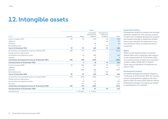### <span id="page-32-0"></span>**12. Intangible assets**

|                                                        | Group                    |              |                                      |                                        |         |
|--------------------------------------------------------|--------------------------|--------------|--------------------------------------|----------------------------------------|---------|
| <b>DKKm</b>                                            | Goodwill                 | Rights       | Completed<br>development<br>projects | Development<br>projects in<br>progress | Total   |
| Cost at 1 January 2021                                 | 93                       | 87           | 410                                  | 46                                     | 636     |
| Additions                                              |                          |              |                                      | 36                                     | 36      |
| <b>Disposals</b>                                       |                          |              | (6)                                  |                                        | (6)     |
| Reclassified assets                                    |                          |              | 6                                    | (6)                                    |         |
| Cost at 31 December 2021                               | 93                       | 87           | 410                                  | 76                                     | 666     |
| Amortisation and impairment losses at 1 January 2021   | (93)                     | (77)         | (343)                                | $\overline{\phantom{a}}$               | (513)   |
| Foreign exchance adjustments                           |                          |              |                                      | $\overline{\phantom{a}}$               |         |
| Amortisation and impairment losses                     |                          | (6)          | (38)                                 | $\overline{\phantom{a}}$               | (44)    |
| <b>Disposals</b>                                       |                          |              | 6                                    | $\overline{\phantom{a}}$               | 6       |
| Amortisation and impairment losses at 31 December 2021 | (93)                     | (83)         | (375)                                | ٠                                      | (551)   |
| Carrying amount at 31 December 2021                    | ٠                        | 4            | 35                                   | 76                                     | 115     |
| Cost at 1 January 2020                                 | 93                       | 580          | 425                                  | 69                                     | 1,167   |
| Additions                                              | $\overline{\phantom{a}}$ | 1            |                                      | 10                                     | 11      |
| <b>Disposals</b>                                       |                          | (494)        | (48)                                 | $\overline{\phantom{a}}$               | (542)   |
| Reclassified assets                                    | $\overline{\phantom{a}}$ |              | 33                                   | (33)                                   |         |
| Cost at 31 December 2020                               | 93                       | 87           | 410                                  | 46                                     | 636     |
| Amortisation and impairment losses at 1 January 2020   | (93)                     | (570)        | (354)                                |                                        | (1,017) |
| Foreign exchance adjustments                           |                          | 1            |                                      |                                        | 1       |
| Amortisation and impairment losses                     |                          | (2)          | (37)                                 |                                        | (39)    |
| <b>Disposals</b>                                       |                          | 494          | 48                                   |                                        | 542     |
| Amortisation and impairment losses at 31 December 2020 | (93)                     | (77)         | (343)                                | ٠                                      | (513)   |
| Carrying amount at 31 December 2020                    | ٠                        | 10           | 67                                   | 46                                     | 123     |
| Amortised over                                         | $\overline{\phantom{a}}$ | 5 - 20 years | $3 - 5$ years                        |                                        |         |

### **Impairment testing**

Development projects in progress are annually tested for impairment. The carrying amounts of rights and completed development projects are assessed annually to determine whether there is any indication of impairment. If any such indication exists, an impairment test is carried out.

### **Rights**

Rights consist predominantly of customerrelated rights and a connection right relating to gas transportation. At 31 December 2021, the carrying amount of rights was calculated to DKK 4 million (2020: DKK 10 million). There were no indications of impairment of rights in 2021.

### **Development projects**

Completed development projects related to IT software. At 31 December 2021, the carrying amount of development projects was calculated to DKK 35 million (2020: DKK 67 million). Development projects in progress are related to development of IT software.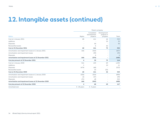### **12. Intangible assets (continued)**

|                                                        | Parent company |                                      |                                        |       |  |
|--------------------------------------------------------|----------------|--------------------------------------|----------------------------------------|-------|--|
| <b>DKKm</b>                                            | Rights         | Completed<br>development<br>projects | Development<br>projects in<br>progress | Total |  |
| Cost at 1 January 2021                                 | 68             | 411                                  | 46                                     | 525   |  |
| Additions                                              |                |                                      | 35                                     | 35    |  |
| <b>Disposals</b>                                       |                | (6)                                  | $\overline{\phantom{a}}$               | (6)   |  |
| Reclassified assets                                    |                | 6                                    | (6)                                    |       |  |
| Cost at 31 December 2021                               | 68             | 411                                  | 75                                     | 554   |  |
| Amortisation and impairment losses at 1 January 2021   | (64)           | (343)                                | $\overline{\phantom{a}}$               | (407) |  |
| Amortisation and impairment losses                     |                | (39)                                 | $\overline{\phantom{a}}$               | (39)  |  |
| <b>Disposals</b>                                       |                | 6                                    | $\overline{\phantom{a}}$               | 6     |  |
| Amortisation and impairment losses at 31 December 2021 | (64)           | (376)                                | ٠                                      | (440) |  |
| Carrying amount at 31 December 2021                    | 4              | 35                                   | 75                                     | 114   |  |
| Cost at 1 January 2020                                 | 541            | 425                                  | 69                                     | 1,035 |  |
| Additions                                              | 1              |                                      | 10                                     | 11    |  |
| <b>Disposals</b>                                       | (474)          | (48)                                 | $\overline{\phantom{a}}$               | (522) |  |
| Reclassified assets                                    |                | 33                                   | (33)                                   |       |  |
| Cost at 31 December 2020                               | 68             | 411                                  | 46                                     | 525   |  |
| Amortisation and impairment losses at 1 January 2020   | (536)          | (354)                                | $\overline{\phantom{a}}$               | (890) |  |
| Amortisation and impairment losses                     | (2)            | (37)                                 |                                        | (39)  |  |
| <b>Disposals</b>                                       | 474            | 48                                   |                                        | 522   |  |
| Amortisation and impairment losses at 31 December 2020 | (64)           | (343)                                | ٠                                      | (408) |  |
| Carrying amount at 31 December 2020                    | 4              | 68                                   | 45                                     | 117   |  |
| Amortised over                                         | 5 - 20 years   | $3 - 5$ years                        | $\sim$                                 |       |  |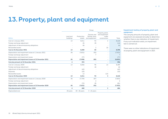### <span id="page-34-0"></span>**13. Property, plant and equipment**

| Group                                                  |                          |                      |                                                  |                                                            |                |
|--------------------------------------------------------|--------------------------|----------------------|--------------------------------------------------|------------------------------------------------------------|----------------|
| <b>DKKm</b>                                            | Land and<br>buildings    | Production<br>assets | Fixtures and<br>fittings, tools<br>and equipment | Property, plant,<br>and equipment<br>under<br>construction | Total          |
| Cost at 1 January 2021                                 | 13                       | 8,311                | 92                                               | $\overline{2}$                                             | 8.418          |
| Foreign exchange adjustment                            |                          | (5)                  | (9)                                              |                                                            | (14)           |
| Adjustment of decommissioning obligations              |                          | (6)                  |                                                  | $\overline{\phantom{a}}$                                   | (6)            |
| Reclassified assets                                    |                          |                      | $\overline{2}$                                   | (2)                                                        |                |
| Cost at 31 December 2021                               | 13                       | 8,300                | 85                                               | ٠                                                          | 8,398          |
| Depreciation and impairment losses at 1 January 2021   | (9)                      | (7, 831)             | (92)                                             | $\overline{\phantom{a}}$                                   | (7,932)        |
| Foreign exchange adjustment                            |                          |                      | 7                                                | $\overline{\phantom{a}}$                                   | $\overline{7}$ |
| Depreciation and impairment losses                     | $\overline{\phantom{a}}$ | (77)                 |                                                  | $\overline{\phantom{a}}$                                   | (77)           |
| Depreciation and impairment losses at 31 December 2021 | (9)                      | (7,908)              | (85)                                             | ٠                                                          | (8,002)        |
| Carrying amount at 31 December 2021                    | 4                        | 392                  | ٠                                                | ٠                                                          | 396            |
| Cost at 1 January 2020                                 | 13                       | 8,366                | 96                                               | 14                                                         | 8,489          |
| Foreign exchange adjustment                            |                          |                      | (4)                                              |                                                            | (4)            |
| Adjustment of decommissioning obligations              |                          | (42)                 |                                                  |                                                            | (42)           |
| <b>Disposals</b>                                       |                          | (25)                 |                                                  |                                                            | (25)           |
| Reclassified assets                                    |                          | 12                   |                                                  | (12)                                                       |                |
| Cost at 31 December 2020                               | 13                       | 8,311                | 92                                               | $\mathbf{2}$                                               | 8,418          |
| Depreciation and impairment losses at 1 January 2020   | (9)                      | (7, 759)             | (87)                                             | $\overline{\phantom{a}}$                                   | (7, 855)       |
| Foreign exchange adjustment                            |                          |                      | 4                                                |                                                            |                |
| Depreciation and impairment losses                     |                          | (72)                 | (9)                                              |                                                            | (81)           |
| Depreciation and impairment losses at 31 December 2020 | (9)                      | (7, 831)             | (92)                                             | ٠                                                          | (7, 932)       |
| Carrying amount at 31 December 2020                    | $\overline{\mathbf{4}}$  | 480                  |                                                  | $\overline{2}$                                             | 486            |
| Depreciated over                                       | 20 years                 | 20 - 40 years        | $3 - 10$ years                                   |                                                            |                |

### **Impairment testing of property, plant and equipment**

The carrying amounts of property, plant and equipment are assessed annually to determine whether there is any indication of impairment. If any such indication exists, an impairment test is carried out.

There were no other indications of impairment of property, plant and equipment in 2021.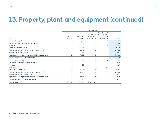### **13. Property, plant and equipment (continued)**

|                                                        |                       |                      | Parent company                                          |                                                            |                          |
|--------------------------------------------------------|-----------------------|----------------------|---------------------------------------------------------|------------------------------------------------------------|--------------------------|
| <b>DKKm</b>                                            | Land and<br>buildings | Production<br>assets | <b>Fixtures and</b><br>fittings, tools<br>and equipment | Property, plant,<br>and equipment<br>under<br>construction | Total                    |
| Cost at 1 January 2021                                 | 11                    | 8,296                | $\overline{4}$                                          | 2                                                          | 8,313                    |
| Adjustment of decommissioning obligations              |                       | (6)                  |                                                         |                                                            | (6)                      |
| <b>Disposals</b>                                       |                       |                      |                                                         | (2)                                                        | (2)                      |
| Cost at 31 December 2021                               | 11                    | 8,290                | 4                                                       | ۰                                                          | 8,305                    |
| Depreciation and impairment losses at 1 January 2021   | (9)                   | (7, 817)             | (4)                                                     | $\overline{\phantom{a}}$                                   | (7, 830)                 |
| Depreciation and impairment losses                     |                       | (81)                 |                                                         | $\overline{\phantom{a}}$                                   | (81)                     |
| Depreciation and impairment losses at 31 December 2021 | (9)                   | (7,898)              | (4)                                                     | ٠                                                          | (7, 911)                 |
| Carrying amount at 31 December 2021                    | $\overline{2}$        | 392                  | ٠                                                       | ۰                                                          | 394                      |
| Cost at 1 January 2020                                 | 11                    | 8,349                | $\overline{4}$                                          | 14                                                         | 8.378                    |
| Adjustment of decommissioning obligations              |                       | (42)                 | $\overline{\phantom{a}}$                                |                                                            | (42)                     |
| <b>Disposals</b>                                       |                       | (23)                 |                                                         |                                                            | (23)                     |
| Reclassification                                       |                       | 12                   |                                                         | (12)                                                       | $\overline{\phantom{a}}$ |
| Cost at 31 December 2020                               | 11                    | 8,296                | 4                                                       | $\overline{2}$                                             | 8,313                    |
| Depreciation and impairment losses at 1 January 2020   | (9)                   | (7,745)              | (4)                                                     | $\overline{\phantom{a}}$                                   | (7,758)                  |
| Depreciation and impairment losses                     |                       | (72)                 |                                                         |                                                            | (72)                     |
| Depreciation and impairment losses at 31 December 2020 | (9)                   | (7, 817)             | (4)                                                     | ۰                                                          | (7, 830)                 |
| Carrying amount at 31 December 2020                    | $\overline{2}$        | 479                  | $\overline{\phantom{a}}$                                | $\overline{2}$                                             | 483                      |
| Depreciated over                                       | 20 years              | 20 - 40 years        | $3 - 10$ years                                          |                                                            |                          |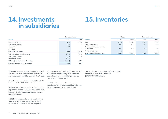### <span id="page-36-0"></span>**14. Investments in subsidiaries**

### **15. Inventories**

|                                  | Parent company |       |
|----------------------------------|----------------|-------|
| <b>DKKm</b>                      | 2021           | 2020  |
| Cost at 1 January                | 1,176          | 1,175 |
| Adjustment, opening              | (75)           |       |
| Additions                        | 827            |       |
| <b>Disposals</b>                 |                |       |
| Cost at 31 December              | 1,928          | 1,176 |
| Value adjustments at 1 January   | (889)          | (889) |
| Adjustment, opening              | 75             |       |
| Impairment losses                | (852)          |       |
| Value adjustments at 31 December | (1,666)        | (889) |
| Carrying amount at 31 December   | 262            | 287   |

|                                           |       | Group |       | Parent company |
|-------------------------------------------|-------|-------|-------|----------------|
| <b>DKKm</b>                               | 2021  | 2020  | 2021  | 2020           |
| Gas                                       | 3,813 | 1,287 | 3,812 | 1,285          |
| Green certificates                        | 887   | 477   | 887   | 477            |
| Carbon emission allowances<br>(purchased) | 388   | 449   | 388   | 449            |
| Other inventories                         | ┸     | 4     |       | 4              |
| <b>Inventories at 31 December</b>         | 5,089 | 2,217 | 5,088 | 2,215          |

Reference is made to page 5 for Ørsted Salg & Service A/S Group Structure and overview of the consolidated subsidiaries within the Group.

In 2021, additions are related to capital contribution in Orsted S&D (UK) Limited.

We have tested investments in subsidiaries for impairment by comparing the expected future income in the individual subsidiary with their carrying amounts.

In 2021, due to general low earnings from the UK B2B activites and the decision to terminate our B2B activites in UK, the exepcted

future value of our investment in Orsted S&D (UK) Limited is significantly lower than the booked value of the subsidiary, which has given rise to an impairment.

In 2020, additions are related to capital contribution to the new established subsidiary Orsted Commercial Commodities A/S.

The carrying amount of inventories recognised at fair value was DKK 3,161 million (2020: DKK 1,388 million).

 $\leftarrow$  =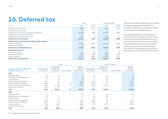<span id="page-37-0"></span>

|                                                             | Group    |                          | Parent company |       |
|-------------------------------------------------------------|----------|--------------------------|----------------|-------|
| <b>DKKm</b>                                                 | 2021     | 2020                     | 2021           | 2020  |
| Deferred tax at 1 January                                   | (606)    | (141)                    | (580)          | (121) |
| Exchange rate adjustment                                    | (3)      | $\overline{2}$           |                |       |
| Deferred tax for the year recognised in profit (loss)       | (3,520)  | (466)                    | (3,524)        | (458) |
| Deferred tax discontinued operations                        | 41       | $\overline{\phantom{a}}$ |                |       |
| Adjustments in respect of prior years                       | (123)    | (1)                      | (122)          | (1)   |
| Deferred tax at 31 December                                 | (4, 211) | (606)                    | (4, 226)       | (580) |
| Deferred tax is recognised in the balance sheet as follows: |          |                          |                |       |
| Deferred tax (assets)                                       | (4, 226) | (606)                    | (4, 226)       | (580) |
| Deferred tax (liability)                                    | 15       |                          |                |       |
| Deferred tax at 31 December, net                            | (4, 211) | (606)                    | (4, 226)       | (580) |
| Deferred tax concerns:                                      |          |                          |                |       |
| Non-current assets                                          | 124      | 45                       | 112            | 78    |
| Non-current liabilities                                     | (398)    | (188)                    | (398)          | (441) |
| Current liabilities                                         | (3,937)  | (463)                    | (3,940)        | (217) |
| Deferred tax at 31 December                                 | (4, 211) | (606)                    | (4, 226)       | (580) |

Deferred tax assets are expected to be utilised for offsetting against the settlement of deferred tax liabilities in companies included in joint taxation in the Ørsted Group.

Unrecognised deferred tax assets relate to losses in foreign companies as well as impairment losses in foreign companies where we deem that such tax assets cannot be utilised in the foreseeable future. Unrecognised tax assets can be carried forward indefinitely. The amount of unrecognised tax losses was DKK 74 million in 2021 (2020: DKK 32 million).

|                                                                 |                                      |                                                | Group                    |                                           | Parent company                |                                                |                          |                                           |
|-----------------------------------------------------------------|--------------------------------------|------------------------------------------------|--------------------------|-------------------------------------------|-------------------------------|------------------------------------------------|--------------------------|-------------------------------------------|
| <b>Change in temporary differences</b><br>during the year, DKKm | <b>Balance sheet</b><br>at 1 January | Recognised<br>in profit (loss)<br>for the year | Other changes            | <b>Balance</b><br>sheet at<br>31 December | Balance sheet<br>at 1 January | Recognised<br>in profit (loss) for<br>the year | Other changes            | <b>Balance</b><br>sheet at<br>31 December |
| 2021                                                            |                                      |                                                |                          |                                           |                               |                                                |                          |                                           |
| Intangible assets                                               | 16                                   | (8)                                            | $\overline{\phantom{a}}$ | 8                                         | 15                            | (7)                                            | $\overline{\phantom{a}}$ |                                           |
| Property, plant, and equipment                                  | 63                                   | 4                                              | $\overline{\phantom{a}}$ | 67                                        | 57                            | (2)                                            | $\sim$                   | 55                                        |
| Current assets                                                  | $\overline{2}$                       | 47                                             | $\overline{\phantom{a}}$ | 49                                        | $\overline{2}$                | 47                                             | $\sim$                   | 49                                        |
| Decommissioning obligations                                     | (117)                                | (3)                                            | $\sim$                   | (120)                                     | (117)                         | (3)                                            | $\sim$                   | (120)                                     |
| Other non-current liabilities                                   | (324)                                | 47                                             | (1)                      | (278)                                     | (324)                         | 46                                             | $\sim$                   | (278)                                     |
| Current liabilities and derivatives                             | (210)                                | (3,725)                                        | (2)                      | (3,937)                                   | (213)                         | (3,727)                                        | $\sim$                   | (3,940)                                   |
| Tax loss carry forward                                          | (36)                                 | 36                                             | $\overline{\phantom{a}}$ |                                           |                               |                                                | $\sim$                   |                                           |
| <b>Total</b>                                                    | (606)                                | (3,602)                                        | (3)                      | (4, 211)                                  | (580)                         | (3,646)                                        | ۰.                       | (4, 226)                                  |
| 2020                                                            |                                      |                                                |                          |                                           |                               |                                                |                          |                                           |
| Intangible assets                                               | 16                                   |                                                |                          | 16                                        | 16                            | (1)                                            |                          | 15                                        |
| Property, plant, and equipment                                  | 62                                   |                                                | $\overline{\phantom{a}}$ | 63                                        | 65                            | (8)                                            |                          | 57                                        |
| Current assets                                                  |                                      |                                                | $\overline{\phantom{a}}$ | $\overline{2}$                            |                               |                                                | $\overline{\phantom{a}}$ |                                           |
| Decommissioning obligations                                     | (116)                                | (1)                                            | $\overline{\phantom{a}}$ | (117)                                     | (116)                         | (1)                                            | $\overline{\phantom{a}}$ | (117)                                     |
| Other non-current liabilities                                   | (343)                                | 19                                             | $\sim$                   | (324)                                     | (343)                         | 19                                             | $\overline{\phantom{a}}$ | (324)                                     |
| <b>Current liabilities</b>                                      | 264                                  | (474)                                          | $\overline{\phantom{a}}$ | (210)                                     | 257                           | (470)                                          |                          | (213)                                     |
| Tax loss carry forward                                          | (25)                                 | (11)                                           |                          | (36)                                      |                               |                                                |                          |                                           |
| Total                                                           | (141)                                | (465)                                          | ٠                        | (606)                                     | (120)                         | (460)                                          |                          | (580)                                     |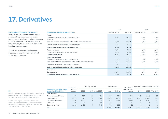### <span id="page-38-0"></span>**17. Derivatives**

### **Categories of financial instruments**

Financial instruments are used for various purposes. The purpose determines the category, and whether the value adjustment of the instrument should be recognised in the profit (loss) for the year or as part of the hedging reserve in equity.

The fair value of financial instruments measured at amortised cost is identical to the carrying amount.

|                                                                       | 2021            |            | 2020            |            |
|-----------------------------------------------------------------------|-----------------|------------|-----------------|------------|
| <b>Financial instruments by category, DKKm</b>                        | Carrying amount | Fair value | Carrying amount | Fair value |
| Assets                                                                |                 |            |                 |            |
| Derivative financial instruments held for trading                     | 30,855          | 30,855     | 4,680           | 4,680      |
| Securities                                                            | 414             | 414        | 356             | 356        |
| Financial assets measured at fair value via the income statement      | 31,269          | 31,269     | 5,036           | 5,036      |
| Derivative financial instruments held for hedging                     | 8,554           | 8,554      |                 |            |
| Derivatives (assets) used ad hedging instruments                      | 8,554           | 8,554      | ٠               |            |
| Trade receivables                                                     | 7.728           | 7.728      | 3,973           | 3,973      |
| Other receivables, cash, and cash equivalents                         | 13.103          | 13.103     | 8,860           | 8,860      |
| Loans and receivables                                                 | 20.831          | 20.831     | 12,833          | 12,833     |
| <b>Equity and liabilities</b>                                         |                 |            |                 |            |
| Derivative financial instruments held for trading                     | 31,331          | 31,331     | 4,820           | 4,820      |
| Financial liabilities measured at fair value via the income statement | 31,331          | 31,331     | 4,820           | 4,820      |
| Derivatives finacial instruments held for hedging                     | 12,843          | 12,843     |                 |            |
| Derivatives (liabilities) used as hedging instruments                 | 12,843          | 12,843     | ٠               |            |
| <b>Bank loans</b>                                                     |                 |            | 64              | 64         |
| Other payables                                                        | 15.576          | 15.576     | 4,333           | 4,333      |
| Financial liabilities measured at amortised cost                      | 15.576          | 15.576     | 4,397           | 4,397      |

|         | . .          |  |
|---------|--------------|--|
| ۹       | ٩            |  |
|         |              |  |
|         |              |  |
| ×<br>v. | ۰,<br>٩<br>٩ |  |

In 2021, we began to apply IFRS hedge accounting to energy and related FX hedges previously accounted for under the business performance principle.

In 2021, we recognised volume ineffectiveness related to gas and oil hedges, primarily related to exposure in 2022. In total, these amounted to DKK -269 million (2020: DKK 0 million).

|                                                       | Contractual         |         | Maturity analysis |                   |       | Market value | Recognised in           |                |         | Expected transfers to EBITDA/CAPEX |
|-------------------------------------------------------|---------------------|---------|-------------------|-------------------|-------|--------------|-------------------------|----------------|---------|------------------------------------|
| Energy price cash flow hedge<br>accounting 2021, DKKm | principal<br>amount | 2022    | 2023              | <b>After 2023</b> | Asset | Liability    | comprehensive<br>income | 2022           | 2023    | <b>After 2023</b>                  |
| <b>EBITDA</b> impact                                  |                     |         |                   |                   |       |              |                         |                |         |                                    |
| Power swaps and futures                               | 347                 | 219     | 102               | 26                | 209   | 794          | (584)                   | (445)          | (124)   | (15)                               |
| Power options                                         | 3.229               | 612     | 724               | 1,893             | 5,050 | 9,082        | (4,972)                 | (2,783)        | (1,434) | (755)                              |
| Gas swaps and futures                                 | 3.710               | 3.701   | $\circ$           | 9                 | 2.647 | 2.353        | 1,442                   | (18)           | (192)   | 1,652                              |
| Oil futures                                           | 19                  | $\circ$ |                   | 12                | 52    | 29           | 30                      | $\overline{2}$ |         | 25                                 |
| Currency, forwards                                    | 1,411               | 1.488   | 3                 | (80)              | 596   | 585          | 11                      | 9              |         |                                    |
| Total                                                 |                     |         |                   |                   | 8,554 | 12,843       | (4,073)                 | (3, 235)       | (1,746) | 908                                |

### 39 Ørsted Salg & Service, Annual report 2021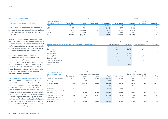### **Fair value measurement**

All assets and liabilities measured at fair value are measured on a recurring basis.

**Economic hedging of fair values,** DKKm

Quoted prices comprise derivative financial instruments that are traded in active marke It is customary to settle these trades on a daily basis.

Observable inputs comprise derivative financial instruments where valuation models with observable inputs are used to measure fair value. For commodity derivatives we can directly apply the observable commodity price adjusted for the credit risk on the counterparty.

### **Significant non-observable inputs**

Market values based on non-observable input comprise primarily long-term contracts on the purchase or sale of power. Since there are no active markets for the long-term prices of power, the market values have been determined through an estimate of the future prices based on an extrapolation of the forward curve adjusted for inflation.

**Estimating non-observable power prices**

Since our corporate power puchase agreements (CPPAs) are normally settled on the actual production, and the power prices available in the market are based on a constant production (flat profile), we take into account that our expected production is not constant, and thus our CPPAs will not be settled against a flat profile price (intermittency adjustment). For the majority of our markets, the flat profile power price can be observed for a maximum of four to six years in the market, after which an active market no longer exists.

| n-<br>$\sim$ $\sim$ |            |        |           |          | $- - - - -$ |           | $- - - -$                |          |
|---------------------|------------|--------|-----------|----------|-------------|-----------|--------------------------|----------|
|                     | Total      | 57,097 | (51,678)  | 5,419    | 13,313      | (12, 339) |                          | 974      |
|                     | Other      | 109    | (30)      | 79       | 153         | 254       |                          | 407      |
| ets.                | <b>GBP</b> | 28,628 | (34, 440) | (5, 812) | 5,375       | (6, 581)  |                          | (1, 206) |
|                     | <b>USD</b> | 239    | (700)     | (461)    | 977         | (201)     | $\overline{\phantom{a}}$ | 776      |

Hedging

Receivables Payables

|                                                                             | 2021           |            | 2020           |            |
|-----------------------------------------------------------------------------|----------------|------------|----------------|------------|
| Contracts accounted for at fair value through profit or loss (EBITDA), DKKm | Nominal amount | Fair value | Nominal amount | Fair value |
| Oil swaps                                                                   | 1,672          | (755)      | 676            | 164        |
| Gas swaps                                                                   | 3,264          | (3,675)    | 3,545          | 28         |
| Gas options                                                                 |                |            | 34             | 10         |
| Power swaps                                                                 | 5,084          | (1,151)    | 7,322          | 154        |
| Power options                                                               | 5,587          | 5,156      | 3,965          |            |
| Coal forwards                                                               | 85             |            | $\overline{A}$ |            |
| Carbon emission allowances                                                  | 186            | (58)       | 321            | 15         |
| Currency forwards                                                           |                |            | 481            |            |
| Total                                                                       |                | (476)      |                | 386        |

EUR 28,121 (16,508) - 11,613 6,808 (5,811) - 997

2021 2020

instruments Net position Receivables Payables

| Fair value hierarchy of                     |               |                          | 2021                     |        |               |          | 2020                                |       |
|---------------------------------------------|---------------|--------------------------|--------------------------|--------|---------------|----------|-------------------------------------|-------|
| financial instruments<br>DKKm               | Quoted prices | Observable<br>inputs     | Non-observable<br>inputs | Total  | Quoted prices | inputs   | Observable Non-observable<br>inputs | Total |
| Commodity derivatives                       | 9,551         | 24,040                   | 5,166                    | 38,757 | 2,074         | 1,728    | 638                                 | 4,440 |
| Currency derivatives                        |               | 652                      | $\overline{\phantom{a}}$ | 652    |               | 350      |                                     | 350   |
| Total derivatives                           | 9,551         | 24,692                   | 5,166                    | 39,409 | 2,074         | 2,078    | 638                                 | 4,790 |
| Securities                                  | $\sim$        | 414                      | $\overline{\phantom{a}}$ | 414    |               | 356      | $\overline{\phantom{a}}$            | 356   |
| <b>Inventories</b>                          | 3,161         | $\overline{\phantom{a}}$ | $\sim$                   | 3,161  | 1,388         | <b>.</b> | $\overline{\phantom{a}}$            | 1,388 |
| Total assets measured at<br>fair value      | 12,712        | 25,106                   | 5,166                    | 42,984 | 3,462         | 2,434    | 638                                 | 6,534 |
| Commodity derivatives                       | 12,744        | 26,224                   | 4,546                    | 43,514 | 2,269         | 1,750    | 459                                 | 4,478 |
| Currency derivatives                        |               | 660                      | $\overline{\phantom{a}}$ | 660    |               | 342      |                                     | 342   |
| Total liabilities measured<br>at fair value | 12,744        | 26,884                   | 4,546                    | 44,174 | 2,269         | 2,092    | 459                                 | 4,820 |

**Hedging** 

instruments Net position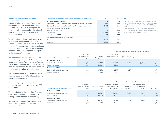[Notes](#page-23-0)

### **Valuation principles and material assumptions**

In order to minimise the use of subjective estimates or modifications of parameters and calculation models, it is our policy to determine fair values based on the external information that most accurately reflects the market values.

We use pricing and benchmark services to increase data quality. Market values are determined by the Group Treasury & Risk Management function, which reports to the Group CFO. The developments in market values are monitored on a continuing basis and reported to the Executive Committee.

#### **Netting of financial assets and liabilities**

The netting agreements with the individual counterparties are often limited to offsetting within specific products. In addition, the settlement of liabilities and the realisation of assets do often not take place simultaneously.

We only offset positive and negative values if we are entitled to and intend to settle several financial instruments net.

Consequently, only some of the Group's netting agreements meet the provisions in IFRS on offsetting.

The table below to the right show financial assets and liabilities that are subject to netting agreements and related security.

Net derivative assets valued on the basis of non-observable inputs are specified in the table to the left.

| Derivatives valued on the basis of non-observable inputs, DKKm       | 2021                     | 2020  |
|----------------------------------------------------------------------|--------------------------|-------|
| Market value at 1 January                                            | 179                      | 261   |
| Transferred to level 2 due to market data having become available    | (163)                    | (60)  |
| Gains and losses recognised in profit (loss) for the year as revenue | 2,222                    | (162) |
| Transferred from observable inputs                                   | $\overline{\phantom{a}}$ | 15    |
| Sales and redemptions                                                | 29                       | (40)  |
| New trades                                                           | (1,647)                  | 165   |
| Market value at 31 December                                          | 620                      | 179   |
| Net assets can be specified as follows:                              |                          |       |
| Assets                                                               | 5.166                    | 638   |
| Liabilities                                                          | (4.546)                  | (459) |

The main non-observable input is German power prices in the period 2025-2034. The average power price for the period is estimated at DKK 553 per MWh, based on an inflation-adjusted extrapolation of the observable price. An increase or decrease in the German power prices of 25 % would impact the fair value by +/- DKK 1,871 million.

Related amounts not netted in the balance sheet

 $\odot$ 

| Netting of financial assets, DKKm | Recognised<br>financial assets,<br>gross | Financial<br>liabilities, offset | <b>Financial assets</b><br>presented in the<br>balance sheet | Liabilities with<br>offsetting rights | Security received | Net amount |
|-----------------------------------|------------------------------------------|----------------------------------|--------------------------------------------------------------|---------------------------------------|-------------------|------------|
| 31 December 2021                  |                                          |                                  |                                                              |                                       |                   |            |
| Derivative financial instruments  | 79.779                                   | (58, 307)                        | 21,472                                                       | (5,412)                               | (3,430)           | 12,630     |
| Trade receivables                 | 43.203                                   | (38,009)                         | 5,194                                                        | $\overline{\phantom{a}}$              | $-$               | 5,194      |
| <b>31 December 2020</b>           |                                          |                                  |                                                              |                                       |                   |            |
| Derivative financial instruments  | 7.426                                    | (5,031)                          | 2,395                                                        | (657)                                 |                   | 1,738      |
| Trade receivables                 | 13.655                                   | (11, 842)                        | 1,813                                                        | $\overline{\phantom{a}}$              | $\sim$            | 1,813      |

|                                        |                                               |                             |                                                                   | Related amounts not netted in the balance sheet |                                              |            |
|----------------------------------------|-----------------------------------------------|-----------------------------|-------------------------------------------------------------------|-------------------------------------------------|----------------------------------------------|------------|
| Netting of financial liabilities, DKKm | Recognised<br>financial liabilities,<br>gross | Financial assets.<br>offset | <b>Financial liabilities</b><br>presented in the<br>balance sheet | Assets with<br>offsetting rights                | Security provided<br>in the form of<br>bonds | Net amount |
| <b>31 December 2021</b>                |                                               |                             |                                                                   |                                                 |                                              |            |
| Derivative financial instruments       | 96.789                                        | (58, 307)                   | 38,482                                                            | (5,412)                                         | (414)                                        | 32,656     |
| Trade payables                         | 43.816                                        | (38,009)                    | 5.807                                                             |                                                 |                                              | 5,807      |
| <b>31 December 2020</b>                |                                               |                             |                                                                   |                                                 |                                              |            |
| Derivative financial instruments       | 8.374                                         | (5,031)                     | 3.343                                                             | (657)                                           | (356)                                        | 2,330      |
| Trade payables                         | 13,898                                        | (11, 842)                   | 2,056                                                             | $\overline{\phantom{a}}$                        | $\overline{\phantom{a}}$                     | 2,056      |
|                                        |                                               |                             |                                                                   |                                                 |                                              |            |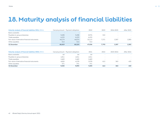### <span id="page-41-0"></span>**18. Maturity analysis of financial liabilities**

| Maturity analysis of financial liabilities 2021, DKKm |        | Carrying amount Payment obligation | 2022                     | 2023  | 2024-2025 | After 2025               |
|-------------------------------------------------------|--------|------------------------------------|--------------------------|-------|-----------|--------------------------|
| Bank overdrafts                                       |        |                                    | $\overline{\phantom{a}}$ |       |           |                          |
| Payables to group enterprises                         | 9,498  | 9.498                              | 8.976                    | 522   |           |                          |
| Trade payables                                        | 6.233  | 6.233                              | 6,233                    |       | . .       |                          |
| Fair value of derivative financial instruments        | 44.174 | 44,074                             | 32,113                   | 7.271 | 2.307     | 2,383                    |
| Other payables                                        | 514    | 514                                | 514                      |       | . .       | $\overline{\phantom{a}}$ |
| <b>31 December</b>                                    | 60.419 | 60,319                             | 47.836                   | 7.793 | 2.307     | 2,383                    |

| Maturity analysis of financial liabilities 2020, DKKm |       | Carrying amount Payment obligation | 2021  | 2022 | 2023-2024                | <b>After 2024</b> |
|-------------------------------------------------------|-------|------------------------------------|-------|------|--------------------------|-------------------|
| Bank overdrafts                                       | 64    | 64                                 | 64    |      |                          |                   |
| Payables to group enterprises                         | 1,811 | 1.811                              | 1.811 |      | $\overline{\phantom{a}}$ |                   |
| Trade payables                                        | 2.469 | 2,469                              | 2,469 |      | . .                      |                   |
| Fair value of derivative financial instruments        | 4,820 | 4.378                              | 2.978 | 612  | 363                      | 425               |
| Other payables                                        | 371   | 371                                | 371   |      | $\overline{\phantom{0}}$ |                   |
| 31 December                                           | 9,535 | 9.093                              | 7.693 | 612  | 363                      | 425               |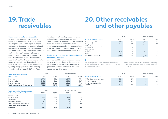### <span id="page-42-0"></span>**19. Trade receivables**

### **20. Other receivables and other payables**

### **Trade receivables by credit quality**

Ørsted Salg & Service A/S's main credit exposure in connection with sales relates to sale of gas. Besides credit exposure on gas customers in Denmark, the exposure primarily relates to international energy companies and banks. Ørsted Salg & Service A/S's internal control of its credit exposure is based on internal credit limits for each counterparty and structured and ongoing monitoring and reporting. Credit limits and any requirements concerning security are determined on the basis of the credit rating of the counterparty, partly using input from external rating agencies such as Moody's, S&P, and Fitch.

For all significant counterparties, framework and netting contracts setting out credit conditions are also entered into. The maximum credit risk related to receivables corresponds to the values recognised in the balance sheet. There are no special concentrations of credit risks. The receivables are not credit insured.

### **Trade receivables that are overdue, but not individually impaired**

Expected credit losses on trade receivables are assessed on the basis of due date and historical experience. For receivables with a general credit risk, a write-down of 0-1 % is carried out on initial recognition.

|                                |       | Group | Parent company           |      |
|--------------------------------|-------|-------|--------------------------|------|
| <b>Other receivables, DKKm</b> | 2021  | 2020  | 2021                     | 2020 |
| Collateral provided            | 6,485 | 436   | 6,485                    | 436  |
| Margin calls                   | 1,168 | (22)  | 1,168                    | (22) |
| VAT and other indirect tax     |       |       |                          |      |
| receivables                    | 8     | 23    | $\overline{\phantom{a}}$ |      |
| Prepayment                     | 14    | 87    | $\overline{\phantom{a}}$ |      |
| Deposits                       | 412   | 127   | 412                      | 127  |
| Other                          | 35    | 24    | 35                       | 24   |
| <b>Total Other receivables</b> | 8,122 | 675   | 8,100                    | 566  |

### $\circledR$

Collateral provided are margin account depositis, which have been pledged as collateral for trading in financial instruments.

Margin calls are receivables from banks regarding market development in financial instruments used for trading.

| <b>Trade receivables by credit</b> |       | Group | Parent company |       |
|------------------------------------|-------|-------|----------------|-------|
| <b>quality, DKKm</b>               | 2021  | 2020  | 2021           | 2020  |
| Denmark                            | 1.774 | 951   | 1,895          | 950   |
| Rest of the EU                     | 2.401 | 611   | 2,232          | 517   |
| Rest of the world                  | 3.553 | 2,411 | 1,512          | 791   |
| Trade receivables at 31 December   | 7.728 | 3.973 | 5,639          | 2,258 |

| Trade receivables that are overdue, |      | Group | Parent company |                   |
|-------------------------------------|------|-------|----------------|-------------------|
| but not individually impaired, DKKm | 2021 | 2020  | 2021           | 2020              |
| Days past due:                      |      |       |                |                   |
| Up to 30 days                       | 186  | 294   | 186            | 73                |
| 30-90 days                          | 25   | 14    | 25             | $\left( 1\right)$ |
| More than 90 days                   | 10   | (63)  | 9              | 44                |
| Trade receivables, write-downs      | (31) | (81)  | (14)           | (36)              |
| Trade receivables overdue at 31     |      |       |                |                   |
| <b>December</b>                     | 190  | 164   | 206            | 80                |

|                                                    | Group |      | Parent company |      |
|----------------------------------------------------|-------|------|----------------|------|
| <b>Other payables, DKKm</b>                        | 2021  | 2020 | 2021           | 2020 |
| VAT and other indirect taxes                       | 326   | 231  | 81             | 21   |
| Other payables                                     | 188   | 140  | 66             | 118  |
| <b>Other current liabilities</b><br>at 31 December | 514   | 371  | 147            | 139  |

 $\leftarrow$  =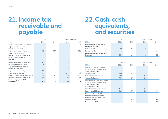### <span id="page-43-0"></span>**21. Income tax receivable and payable**

|                                                         | Group |       | Parent company |       |
|---------------------------------------------------------|-------|-------|----------------|-------|
| <b>DKKm</b>                                             | 2021  | 2020  | 2021           | 2020  |
| Income tax receivable at 1 January                      | 84    | 707   |                | 640   |
| Adjustments to current tax in<br>respect of prior years |       | 72    |                | 71    |
| Payments in respect of prior years                      | (81)  | (737) |                | (711) |
| Current tax for the year                                | 6     | 39    |                |       |
| Payments in respect of the year                         | 3     | 3     |                |       |
| Income tax receivable at 31<br>December                 | 12    | 84    |                |       |
| Income tax payable at 1 January                         | 319   | 4     | 316            |       |
| Exchange rate adjustments                               | (4)   |       |                |       |
| Adjustments to current tax in<br>respect of prior years | 136   |       | 136            |       |
| Payments in respect of prior years                      | (498) |       | (437)          |       |
| Current tax for the year                                | 2,092 | 397   | 2,099          | 357   |
| Current tax discontinued operations                     | (19)  | (148) | (9)            | (107) |
| Payments in respect of the year                         | (56)  | 66    | (56)           | 66    |
| Income tax payable at 31<br><b>December</b>             | 1,970 | 319   | 2,049          | 316   |

### **22. Cash, cash equivalents, and securities**

|                                                      | Group  |      | Parent company |      |
|------------------------------------------------------|--------|------|----------------|------|
| <b>DKKm</b>                                          | 2021   | 2020 | 2021           | 2020 |
| Cash and cash equivalents at 31<br>December include: |        |      |                |      |
| Cash, available                                      | 549    | 249  | 28             | 53   |
| Bank overdrafts                                      | $\sim$ | (64) | -              | (64) |
| Cash and cash equivalents at 31<br><b>December</b>   | 549    | 185  | 28             | (11) |

|                                                                                                  |                          | Group | Parent company |      |
|--------------------------------------------------------------------------------------------------|--------------------------|-------|----------------|------|
| <b>DKKm</b>                                                                                      | 2021                     | 2020  | 2021           | 2020 |
| Cash at 31 December can be<br>broken down into the following<br>balance sheet items:             |                          |       |                |      |
| Cash, available                                                                                  | 549                      | 249   | 28             | 53   |
| Cash, not available for use                                                                      | 240                      | 7     | 240            |      |
| Cash at 31 December                                                                              | 789                      | 256   | 268            | 60   |
| Securities at 31 December can be<br>broken down into the following<br>balance sheet items:       |                          |       |                |      |
| Securities, available                                                                            |                          |       |                |      |
| Securities, not available for use                                                                | 414                      | 356   | 414            | 356  |
| Securities at 31 December                                                                        | 414                      | 356   | 414            | 356  |
| Other bank loans at 31 December<br>can be broken down into the<br>following balance sheet items: |                          |       |                |      |
| <b>Bank overdrafts</b>                                                                           | $\overline{\phantom{a}}$ | (64)  |                | (64) |
| <b>Bank loans at 31 December</b>                                                                 | ٠                        | (64)  |                | (64) |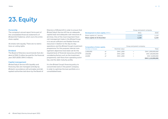## <span id="page-44-0"></span>**23. Equity**

### **Ownership**

The company's annual report forms part of the consolidated financial statements of Ørsted A/S, Fredericia, which owns the entire share capital.

All shares rank equally. There are no restrictions on voting rights.

### **Dividend**

The Board of Directors recommends that dividend of DKK 0 million be paid for the financial year 2021 (2020: DKK 0 million).

#### **Capital management**

Ørsted Salg & Service A/S's liquidity and financing risks are managed centrally by Ørsted in accordance with principles and delegated authorities laid down by the Board of

Directors of Ørsted A/S in order to ensure that Ørsted Salg & Service A/S has an adequate capital base and adequate cash resources at all times. One of the most important financial management tasks in the Ørsted Group is to secure sufficient and flexible financial resources in relation to the day-to-day operations and the Ørsted Group's investment programme. For this purpose, internal management objectives have been set for the required level of financial resources, primarily considering factors such as the investment programme, cash flows from operating activities, and the debt maturity profile.

It is the Ørsted Group's financing policy to concentrate loans in the parent company in order to optimise the loan portfolio on a consolidated basis.

|                                           | Group and parent company |       |  |  |
|-------------------------------------------|--------------------------|-------|--|--|
| <b>Development in share capital,</b> DKKm | 2021                     | 2020  |  |  |
| Share capital at 1 January                | 1.110                    | 1.110 |  |  |
| Share capital at 31 December              | 1.110                    | 1.110 |  |  |

| <b>Composition of share capital,</b> |    | Group and parent company |     |                   |  |  |
|--------------------------------------|----|--------------------------|-----|-------------------|--|--|
| Number of shares                     |    | Nominal value            |     | Total             |  |  |
| 1,000,000                            | 0t | DKK 1,000                | $=$ | DKK 1,000,000,000 |  |  |
| 100,000                              | of | <b>DKK 1.000</b>         | $=$ | DKK 100,000,000   |  |  |
| 10,000                               | 0t | <b>DKK 1.000</b>         | $=$ | DKK 10,000,000    |  |  |
|                                      |    |                          |     | DKK 1,110,000,000 |  |  |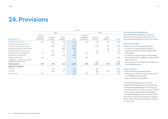### <span id="page-45-0"></span>**24. Provisions**

|                                                                      | Group                               |                          |                          |       |                                     |                      |                          |       |  |  |
|----------------------------------------------------------------------|-------------------------------------|--------------------------|--------------------------|-------|-------------------------------------|----------------------|--------------------------|-------|--|--|
|                                                                      |                                     | 2021                     |                          |       | 2020                                |                      |                          |       |  |  |
| <b>Provisions, DKKm</b>                                              | Decom-<br>missioning<br>obligations | Onerous<br>contracts     | Other<br>liabilities     | Total | Decom-<br>missioning<br>obligations | Onerous<br>contracts | Other<br>liabilities     | Total |  |  |
| Provisions at 1 January                                              | 530                                 | 1,011                    | 678                      | 2,219 | 554                                 | 978                  | 634                      | 2,166 |  |  |
| Foreign exchance adjustment                                          | $\overline{\phantom{a}}$            | 10                       | 3                        | 13    | $\overline{\phantom{a}}$            | 3                    |                          | 4     |  |  |
| Provisions used during the year                                      | $\overline{\phantom{a}}$            | (200)                    | (51)                     | (251) | $\sim$                              | (215)                | (51)                     | (266) |  |  |
| Provisions reversed during the year                                  | $\overline{\phantom{a}}$            | $\overline{\phantom{a}}$ | (932)                    | (932) | $\overline{\phantom{a}}$            |                      | (5)                      | (5)   |  |  |
| Provisions made during the year                                      |                                     | 106                      | 347                      | 453   |                                     | 214                  | 99                       | 313   |  |  |
| Interest element of obligations                                      | 19                                  | 24                       | $\overline{\phantom{a}}$ | 43    | 19                                  | 100                  | $\overline{\phantom{a}}$ | 119   |  |  |
| Divestment of enterprises                                            |                                     | (223)                    | 116                      | (107) | ٠                                   | ٠                    | ٠                        |       |  |  |
| Change in estimates                                                  | (6)                                 |                          | $\sim$                   | (6)   | (43)                                |                      | $\overline{\phantom{a}}$ | (43)  |  |  |
| Transferred to assets and liabilities<br>classified as held for sale |                                     |                          | $\overline{\phantom{a}}$ |       |                                     | (69)                 |                          | (69)  |  |  |
| <b>Total provisions</b>                                              | 543                                 | 728                      | 161                      | 1,432 | 530                                 | 1,011                | 678                      | 2,219 |  |  |
| Falling due as follows:                                              |                                     |                          |                          |       |                                     |                      |                          |       |  |  |
| 0-1 year                                                             | $\sim$                              | 274                      | 74                       | 348   |                                     | 393                  |                          | 393   |  |  |
| 1-5 years                                                            |                                     | 454                      | 87                       | 541   |                                     | 486                  | 678                      | 1,164 |  |  |
| After 5 years                                                        | 543                                 |                          | $\sim$                   | 543   | 530                                 | 132                  | $\overline{a}$           | 662   |  |  |

### **Decommissioning obligations**

Decommissioning obligations relates to expected future costs for restoration and decommissioning of gas infrastructure assets.

#### **Onerous contracts**

Onerous contracts comprise primarily:

- a contract for gas storage capacity in
- Germany of DKK 594 million (2020: DKK 699 million)
- a contract for gas storage in the Stenlille Gas Storage facility of DKK 24 million (2020: DKK 96 million)
- gas and power contracts for termination in the UK B2B business.

### **Other provisions**

Other provisions comprise primarily:

- obligations in relation to the divestment of our UK B2B business in 2021
- other contractual obligations.

The estimated obligations have been discounted to present value using either the structural risk-free interest rate or the incremental borrowing rate. The structural risk-free rate is used for decommissioning liabilities and onerous contracts. It is calculated as the sum of real reuturn (Gross Domestic Product growth rate), inflation, and inflation premium for other risks.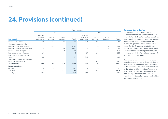### **24. Provisions (continued)**

|                                                                      | Parent company                      |                          |                          |       |                                     |                          |                      |       |  |
|----------------------------------------------------------------------|-------------------------------------|--------------------------|--------------------------|-------|-------------------------------------|--------------------------|----------------------|-------|--|
|                                                                      |                                     | 2021                     |                          |       |                                     | 2020                     |                      |       |  |
| <b>Provisions, DKKm</b>                                              | Decom-<br>missioning<br>obligations | Onerous<br>contracts     | Other<br>liabilities     | Total | Decom-<br>missioning<br>obligations | Onerous<br>contracts     | Other<br>liabilities | Total |  |
| Provisions at 1 January                                              | 530                                 | 794                      | 1,122                    | 2,446 | 554                                 | 978                      | 634                  | 2,166 |  |
| Change in accounting policy                                          |                                     | $\overline{\phantom{a}}$ | $\overline{\phantom{a}}$ |       | $\overline{\phantom{a}}$            | $\overline{\phantom{a}}$ |                      |       |  |
| Provisions used during the year                                      | $\overline{\phantom{a}}$            | (200)                    | $\overline{\phantom{a}}$ | (200) | $\overline{\phantom{a}}$            | (215)                    | (51)                 | (266) |  |
| Provisions reversed during the year                                  | $\overline{\phantom{a}}$            | $\overline{\phantom{a}}$ | (932)                    | (932) | $\overline{\phantom{a}}$            |                          | (5)                  | (5)   |  |
| Provisions made during the year                                      |                                     | $\overline{\phantom{a}}$ | 348                      | 348   | $\overline{\phantom{a}}$            |                          | 544                  | 544   |  |
| Interest element of obligations                                      | 19                                  | 24                       |                          | 43    | 19                                  | 100                      |                      | 119   |  |
| Change in other abandonment<br>factors                               | (6)                                 |                          |                          | (6)   | (43)                                |                          |                      | (43)  |  |
| Transferred to assets and liabilities<br>classified as held for sale |                                     |                          | $\overline{\phantom{a}}$ |       |                                     | (69)                     |                      | (69)  |  |
| <b>Total provisions</b>                                              | 543                                 | 618                      | 538                      | 1,699 | 530                                 | 794                      | 1,122                | 2,446 |  |
| Falling due as follows                                               |                                     |                          |                          |       |                                     |                          |                      |       |  |
| 0-1 year                                                             | $\overline{\phantom{a}}$            | 164                      | 6                        | 170   | $\overline{\phantom{a}}$            | 176                      |                      | 176   |  |
| 1-5 years                                                            |                                     | 454                      | 532                      | 986   | $\sim$                              | 486                      | 1,122                | 1,608 |  |
| After 5 years                                                        | 543                                 | $\overline{\phantom{a}}$ | $\overline{\phantom{a}}$ | 543   | 530                                 | 132                      |                      | 662   |  |

### **Key accounting estimates**

In the course of the Group's operations, a number of commercial contracts have been entered into with fixed terms of contract that may result in the contracts becoming onerous depending on market developments, etc., and the obligations incurred by the Ørsted Salg & Service Group as a result of these contracts may also be subject to uncertainty. The judgements concerning these complex contracts and their future effects are subject to significant uncertainties.

Decommissioning obligations comprise estimated expenses related to decommissioning and disposal of production assets. Estimates of the obligations are based on expectations of the future cost level, timing of decommissioning and the structural risk-free interest rate. The expectation for calculating the provision may depend on future events which are uncertain by nature.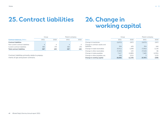### <span id="page-47-0"></span>**25. Contract liabilities**

### **26. Change in working capital**

|                                   |      | Group | Parent company |      |  |
|-----------------------------------|------|-------|----------------|------|--|
| <b>Contract balances, DKKm</b>    | 2021 | 2020  | 2021           | 2020 |  |
| <b>Contract liabilities</b>       |      |       |                |      |  |
| Non-current contract liabilities  | 4    | 4     | 4              |      |  |
| Current contract liabilities      | 383  | 179   | 383            | 179  |  |
| <b>Total contract liabilities</b> | 387  | 183   | 387            | 183  |  |

Contract liabilities primarily relate to prepayments of gas and power contracts.

|                                              |          | Group    | Parent company |         |  |
|----------------------------------------------|----------|----------|----------------|---------|--|
| <b>DKKm</b>                                  | 2021     | 2020     | 2021           | 2020    |  |
| Change in inventories                        | (2,872)  | (307)    | (2,873)        | (307)   |  |
| Change in contract assets and<br>liabilities | 204      | (45)     | 204            | (44)    |  |
| Change in trade receivables                  | (5, 911) | 1,098    | (7,062)        | 2,130   |  |
| Change in other receivables                  | (7, 453) | 155      | (7,543)        | 86      |  |
| Change in trade payables                     | 7,417    | (1,885)  | 7,482          | (1,951) |  |
| Change in other payables, etc.               | (45)     | (151)    | 5              | (122)   |  |
| Change in working capital                    | (8,660)  | (1, 135) | (9,787)        | (208)   |  |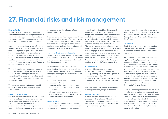### <span id="page-48-0"></span>**27. Financial risks and risk management**

### **Financial risks**

Ørsted Salg & Service A/S is exposed to several different financial risks, including fluctuations in commodity prices, exchange rates, credit risks, and interest rates. The management of these risks is an important focus area in the Group.

Risk management is aimed at identifying the various risk areas and determining a strategy for managing them. A special Risk Committee has been appointed who is responsible for monitoring the Ørsted Group's risk management and risk control relating to market and credit risks. A centralised corporate risk management function has been set up in Ørsted to support the Risk Committee.

Various strategies have been put in place to manage the risks and align the risk profile. The risk profile is managed through the conclusion of financial and physical contracts for commodities, interest, and currencies over the next five years.

The operating profit may fluctuate considerably from year to year because of price developments.

#### **Commodity price risks**

Our price risk arise from the purchase and sale of power and gas. The price risks associated with the purchase and sale of gas result from differences in the indexing of sales and purchase prices. Our largest gas purchase contracts include the option of renegotiating

the contract price if it no longer reflects market conditions.

The price risks associated with power purchases and sales are given by the difference between the purchase and sales prices. The price risks primarily relate to timing differences between purchases, sales, and the related hedges, and is therefore considered to be limited.

### **Managing short-term market risks**

Our focus is on actively managing the market risks for the first five years. We primarily hedge future prices using derivatives to reduce cash flow fluctuations after tax.

Minimum hedging levels are currently determined by the Board of Directors. In the first year, price risks are almost fully hedged. The degree of hedging declines in subsequent years due to:

- reduced certainty about long-term production volumes
- increasing hedging costs in the medium to long term, both spread costs and costs of collateral
- adverse impacts from collateral, potentially tying up large amounts of capital if hedging contracts become unfavourable.

#### **Market trading**

When the Ørsted Group's desired hedging level has been determined, the exposures are transferred to the market trading function,

which is part of Ørsted Salg & Service A/S. Market Trading is responsible for executing the physical and financial transactions in the market. It is not always possible to hedge the transferred price risks in full. Therefore, Ørsted Salg & Service A/S has some remaining exposure resulting from these activities. The market trading function also balances the physical volumes in the market and, to a lesser extent, engages in active position taking to ensure an ongoing market presence and thus gain more detailed market insights. Furthermore, Ørsted Salg & Service A/S has assumed the role of market maker in the Danish power market, which entails further market risks.

#### **Currency risks**

Currency risks arise primarily from:

- Purchase and sale of power and gas. – Energy trading, which is typically priced in currencies other than DKK.
- Other activities, for example in subsidiaries abroad. The main currency risk is related to GBP.

Currency exposure is hedged using forward exchange contracts, swaps, and options.

### **Interest rate risks**

Interest rate risks primarily relate to loan portfolio, cash, and financial hedging. These risks are managed in relation to the Ørsted Salg & Service Group's net financing requirement and capital structure.

Interest rate risk is measured on a net basis, and both debt and any placing of excess cash are included. Interest rate risk is adjusted through the interest terms attaching to the Group's loans.

#### **Credit risks**

Credit risks arise primarily from transacting in power and gas – both wholesale, physical, and financial transactions, including placing surplus cash.

We conclude contracts with customers and suppliers on the physical delivery of energy products and hedging contracts with other energy companies, specialised trading houses and international banks. Physical contracts with a term of more than one year are normal. and gas purchase contracts can have terms of more than five years. All such contracts involve a risk of loss in the event of a counterparty failing to perform its obligations. Such risks are quantified and managed as credit risks and are a significant focus area in the Ørsted Salg & Service Group.

Credit risk is managed based on internal credit limits for counterparties and structured monitoring of the actual exposure. Credit limits are established based on an assessment of the counterparty's credit rating. If the counterparty has an external credit rating, for example from Moody's or Standard & Poor's, this is an important factor in determining the counterparty's credit rating.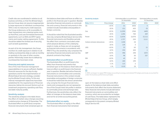Credit risks are coordinated in relation to all business activities, so that the Ørsted Salg & Service Group does not assume inappropriately large exposures to individual counterparties. With a view to reducing its credit exposure, the Group endeavours, as far as possible, to clear transactions via a clearing centre, such as Nord Pool, and uses formalised framework agreements, such as ISDA and EFET agreements and master netting agreements. To this should be added the limited use of security, such as bank guarantees.

As part of its risk management, the Group monitors its credit exposure in relation to all trading counterparties daily as well as monthly or quarterly in the case of other counterparties. Historically, losses due to default by counterparties have been small.

#### **Financing and capital resources**

One of the main financial management responsibilities is to secure sufficient, flexible financial resources for the day-to-day operations and for the implementation of Ørsted Salg & Service's strategy, considering the Ørsted Group's rating. To this end, internal management objectives have been established for the required level of financial resources, taking into account factors such as investment programme, operating cash flow, and debt maturity profile.

### **Sensitivity analysis**

The sensitivity analysis in the tabel shows the effect of market value changes assuming a relative price change at 31 December. The illustrated effect on profit (loss) comprises financial instruments that remained open at

the balance sheet date and have an effect on profits in the financial year in question. Besides derivative financial instruments on commodities and currency, financial instruments in this context include receivables and payables in foreign currencies.

It should be noted that the illustrated sensitivities only comprise Ørsted Salg & Service A/S's financial instruments and therefore exclude the effect from contracts concluded under which physical delivery of the underlying assets is made, as these are not recognised as financial instruments in accordance with IFRS 9. Thus, the sensitivity only comprises the derivative financial instruments and not the physical contracts they hedge.

#### **Estimated effect on profit (loss)**

The illustrated effect on profit (loss) is the effect from financial instruments that remained open at the balance sheet date and have an effect on profit (loss) in the financial year in question. Besides derivative financial instruments on commodities and currencies, financial instruments in this context include receivables and payables in foreign currencies. It should be noted that the shown sensitivities only comprise the Group's financial instruments and consequently are not representative of the Group's total risk profile in relation to commodity prices and exchange rates. Furthermore, the sensitivities only reflect the effect of changes at the balance sheet date and not for an entire accounting period.

### **Estimated effect on equity**

The illustrated effect on equity is the effect from financial instruments that remained

| <b>Sensitivity Analysis</b>        |        |          | Estimated effect on profit (loss)<br>31 December | Estimated effect on equity<br>31 December |      |  |
|------------------------------------|--------|----------|--------------------------------------------------|-------------------------------------------|------|--|
| <b>Risks, DKKm</b><br>Price change |        | 2021     | 2020                                             | 2021                                      | 2020 |  |
| Oil                                | $+25%$ | 21       | (653)                                            | 3                                         |      |  |
|                                    | $-25%$ | (21)     | 653                                              | (3)                                       |      |  |
| Gas                                | $+25%$ | (1, 230) | (760)                                            | (469)                                     |      |  |
|                                    | $-25%$ | 1,206    | 760                                              | 469                                       |      |  |
| Power                              | $+25%$ | (1,634)  | (1,675)                                          | (2,111)                                   |      |  |
|                                    | $-25%$ | 1,737    | 525                                              | 2,111                                     |      |  |
| Carbon emission allowances         | $+25%$ | (128)    | (3)                                              |                                           |      |  |
|                                    | $-25%$ | 128      | 3                                                |                                           |      |  |
| <b>USD</b>                         | $+10%$ | 33       | 65                                               | (1)                                       |      |  |
|                                    | $-10%$ | (33)     | (65)                                             | 1                                         |      |  |
| <b>GBP</b>                         | $+10%$ | (98)     | (59)                                             | (337)                                     |      |  |
|                                    | $-10%$ | 98       | 50                                               | 337                                       |      |  |
| <b>SEK</b>                         | $+10%$ | 40       | 29                                               |                                           |      |  |
|                                    | $-10%$ | (40)     | (29)                                             |                                           |      |  |
| <b>EUR</b>                         | $+1%$  | 115      | 2                                                |                                           |      |  |
|                                    | $-1%$  | (115)    | (2)                                              |                                           |      |  |

 $\circledR$ 

In 2021, we began to apply IFRS hedge accounting to energy and related FX hedges previously accounted for under the business performance principle.

open at the balance sheet date and affect equity at the balance sheet date, excluding instruments that affect the income statement. Here, financial instruments include derivative financial instruments on commodities and currency, which are accounted for as hedges of cash flows. The table below represents the Ørsted Salg & Service Group, which largely corresponds to the parent company Ørsted Salg & Service A/S.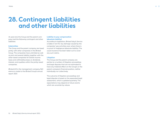### <span id="page-50-0"></span>**28. Contingent liabilities and other liabilities**

At year-end, the Group and the parent company had the following contingent and other liabilities:

### **Indemnities**

The Group and the parent company are taxed jointly with other companies in the Ørsted Group. The companies have unlimited as well as joint and several liability together with the other taxed companies for Danish income taxes and withholding taxes on dividends, interest, and royalties within the jointly taxed companies.

Ørsted A/S is the management company. Reference is made to the Ørsted Group's annual report 2021.

### **Liability to pay compensation (absolute liability)**

According to legislation, Ørsted Salg & Service is liable in tort for any damage caused by the companies' gas activities even where there is no proof of negligence (absolute liability). The usual insurance has been taken out to cover any such claims.

### **Litigation**

The Group and the parent company are parties to a number of litigation proceedings and legal disputes that are not estimated to have any material effect on the Group's or the parent company's financial position, neither individually nor collectively.

The outcome of litigation proceedings and legal disputes is based on the expeceted legal assessment, which is updated quarterly. The expectations may depend on future events which are uncertain by nature.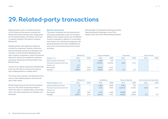### <span id="page-51-0"></span>**29. Related-party transactions**

Related parties with a controlling interest in the Group and the parent company are Ørsted A/S and the Danish state, represented by the Danish Ministry of Finance, which has a majority holding in the parent company Ørsted A/S.

Related parties with significant influence include the companies' boards of directors, executive boards, executive employees, and members of their families. Related parties also comprise companies in which the persons referred to above have significant influence and group enterprises and associates in the Ørsted Group.

As part of its ordinary operations, Ørsted Salg & Service A/S sells to and buys its products from related parties on market terms.

The Group was involved in the following transactions with related parties in the financial year under review.

Ørsted Salg & Service A/S uses the exception set out in IAS 24.25 concerning entities in which the state is a related party, and transactions with state enterprises are therefore not disclosed.

#### **Specific transactions**

The parent company has had transactions with group enterprises as part of its responsibility for the trading function for the Ørsted Group's companies in relation to commodity instruments, etc. Furthermore, balances with group enterprises have been established as part of the normal financing of the Group's activities.

Remuneration of the Board of Directors and the Executive Board is disclosed in note 5 'Employee costs' and note 6 'Share-based payment'.

|                                | Ørsted A/S |       |          | Group enterprises |       | Associates | Joint ventures |      |
|--------------------------------|------------|-------|----------|-------------------|-------|------------|----------------|------|
| Group, DKKm                    | 2021       | 2020  | 2021     | 2020              | 2021  | 2020       | 2021           | 2020 |
| Sale of goods and services     |            |       | 5.093    | (30)              |       |            |                |      |
| Purchase of goods and services |            |       | (23,055) | (12, 552)         | (165) | (172)      |                |      |
| Interest, net                  | (17)       |       |          |                   |       |            |                |      |
| <b>Receivables</b>             | 1.701      | 7.734 | 28,105   | 2,572             |       |            |                |      |
| Payables                       | (4,860)    | (633) | (9,052)  | (1,697)           | (17)  | (17)       |                |      |

|                                | Ørsted A/S |       | <b>Subsidiaries</b> |                          | Group enterprises |          | Joint ventures and associates |                          |
|--------------------------------|------------|-------|---------------------|--------------------------|-------------------|----------|-------------------------------|--------------------------|
| <b>Parent compan, DKKm</b>     | 2021       | 2020  | 2021                | 2020                     | 2021              | 2020     | 2021                          | 2020                     |
| Sale of goods and services     | ŏ          |       | 6.664               | 6,950                    | 5,092             | (32)     |                               |                          |
| Purchase of goods and services |            |       | (121)               | (605)                    | (16, 615)         | (8, 445) | (165)                         | (172)                    |
| Interest, net                  | (9)        | 4     |                     | $\overline{\phantom{a}}$ |                   |          |                               | $\overline{\phantom{a}}$ |
| Receivables                    | 223        | 7.867 | 4,355               | 1,480                    | 28.088            | 2,558    |                               | $\sim$                   |
| Payables                       | (4, 857)   | (271) | (6, 512)            | (767)                    | (9,052)           | (1,692)  | (17)                          | (17)                     |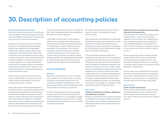### <span id="page-52-0"></span>**30. Description of accounting policies**

### **Derivative financial instruments**

Derivative financial instruments and loans are used to hedge currency and interest rate risks and risks related to the price of oil, gas, power, coal, and carbon emission allowances.

Derivative financial instruments are recognised from the trading date as receivables (positive fair values) and other payables (negative fair values), respectively, and are measured in the balance sheet at fair value. Transaction costs are added to the fair value on initial recognition, unless the financial asset or financial liability is measured at fair value with recognition of fair value adjustments in profit (loss) for the year. Positive and negative values are only offset if the company is entitled to and intends to settle several financial instruments net (in cash).

The fair value of derivative financial instruments is determined on the basis of current market data and assumptions as well as recognised valuation methods.

Value adjustments of derivative financial instruments that act as economic hedges of the Group's primary activities, but do not satisfy the criteria for hedge accounting, are recognised as revenue. Likewise, value adjustments of financial contracts offered to customers with a view to price hedging are recognised as revenue. Value adjustments of financial contracts that are not used as economic hedges

of the Group's principal activities or are part of the Group's trading portfolio, are recognised as financial income and expenses.

Under IFRS, contracts that involve physical delivery may, in certain circumstances, be accounted for as derivative financial instruments. The classification is determined based on an evaluation of the purpose of the contract compared with the Group's other activities. Contracts entered into in the course of the Group's trading activities or as part of certain hedging activities are classified and accounted for as derivative financial instruments, even though they are settled on physical delivery.

### **Income statement**

### **Revenue**

Revenue is measured based on the consideration specified in a contract with a customer (transaction price) and excludes amounts collected on behalf of third parties, i.e. VAT. We recognise revenue when we transfer control over a product or service to a customer.

If a part of the transaction price is variable, i.e. bonus payments, incentive payments for unmissed deadlines, etc., the variable consideration is recognised in revenue when it is highly probable that the revenue will not be reversed in subsequent periods.

We adjust the transaction price for the time value of money if the payments exceed twelve months.

Sales agreements are divided into individually identifiable performance obligations. If a sales agreement includes several performance obligations, the sales agreement's transaction price is allocated to each performance obligation's stand-alone selling price.

In the comparative period, revenue was measured at the fair value of the consideration received or receivable. Revenue from the sale of goods was recognised when the significant risks and rewards of ownership had been transferred to the customer, recovery of the consideration was probable, the associated costs and possible return of goods could be estimated reliably, there was no continuing management involvement with the goods, and the amount of revenue could be measured reliably. Revenue from rendering of services was recognised in proportion to the stage of completion of the work performed at the reporting date.

### **Sale of gas**

### **Timing of satisfaction of delivery obligations and significant estimates**

Revenue is recognised when control of the gas is transferred to the buyer. Transfer of control occurs either when the gas is injected into the distribution system or physically delivered to the customer.

### **Significant terms of payment and associated estimates and assessments**

Sales contracts for a fixed amount of gas at a variable price, or where we are exclusive suppliers to the customer at a variable price, are considered one performance obligation with multiple deliveries to be satisfied over time. For such contracts, we recognise revenue in the amount up to which we have a right to invoice.

Some long-term gas sales contracts include clauses which give the right to renegotiate the fixed sales prices. Expectations for the outcomes of renegotiations are not included in revenue before we know the outcome of the individual renegotiations.

In most cases, the consideration for the gas is due when the gas is injected into the distribution system or delivered to the customer. The delivery of gas is invoiced on a monthly basis. and the payment is due within 10-30 days.

### **Sale of power Types of goods and services**

services.

Revenue from sale of power includes the sale of power produced at own wind farms and power stations, the sale of power sourced from other producers, and the sale of ancillary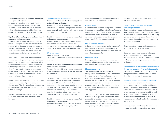### **Timing of satisfaction of delivery obligations and significant estimates**

Revenue is recognised when control of the goods is transferred to the buyer. Transfer of control occurs when the actual power is delivered to the customer, which for power generated by us occurs when it is produced.

### **Significant terms of payment and associated estimates and assessments**

Revenue from ancillary services consists of fees for having power stations on standby in periods with a demand for power generation. Ancillary services are considered one performance obligation which is fulfilled over time when the power stations are on standby.

Sales contracts for a fixed amount of power at a variable price, or where we are exclusive suppliers to the customer at a variable price, are considered one performance obligation with multiple deliveries to be satisfied over time. For such contracts and for long-term agreements on selling power at a fixed price, we recognise revenue in the amount up to which we have a right to invoice.

In most cases, the consideration for the power is due when the actual power is delivered to the customer. The delivery of power is invoiced on a monthly basis, and the payment is due within 10-30 days.

Ancillary services are invoiced on a monthly basis, and consideration is payable when invoiced.

### **Distribution and transmission Timing of satisfaction of delivery obligations and significant estimates**

Revenue from the distribution and transmission of gas and power is recognised when the gas or power is delivered to the buyer, or when the capacity is made available.

### **Significant terms of payment and associated estimates and assessments**

Revenue is calculated as the amount we are entitled to when the service is delivered to the customer and invoiced on a monthly basis, and consideration is payable when invoiced.

### **Other revenue**

### **Types of goods and services**

Other revenue primarily includes consultancy services.

### **Timing of satisfaction of delivery obligations and significant estimates**

Revenue from providing services is recognised in the accounting period in which the services are rendered.

For fixed-priced contracts, revenue is recognised based on the actual service rendered at the end of the reporting period as a proportion of the total services to be rendered because the customer receives and uses the benefits simultaneously. This is determined based on the actual labour hours spent relative to the total labour hours expected.

### **Significant terms of payment and associated estimates and assessments**

Fixed-price contracts are invoiced on a monthly basis, and consideration is payable when

invoiced. Variable fee services are generally due after the services are rendered.

### **Cost of sales**

Cost of sales for fuel and energy comprises the Group's purchases of fuel in the form of gas and power and transportation costs in connection with the above as well as costs related to carbon emission allowances. Costs are recognised in profit for the year as incurred.

### **Other external expenses**

Other external expenses comprise expenses for maintenance of production equipment, rent, external assistance, research and development and office supplies, etc.

### **Employee costs**

Employee costs comprise wages, salaries, remuneration, pensions, social security costs and other employee-related costs.

### **Share programme**

The share programme is classified as an equity-based programme, as the programme is settled in shares. The market value of the PSUs and the estimated number of PSUs granted are measured at the time of granting and recognised in the income statement under employee costs over the vesting period and in the balance sheet under equity over the vesting period.

The valuation of the PSUs and the estimated number of PSUs granted are carried out as a probability simulation based on the expected performance of Ørsted's total shareholder return relative to ten comparable European energy companies. The expectations are

factored into the market value and are not adjusted subsequently.

### **Other operating income and other operating expenses**

Other operating income and expenses comprise items secondary in nature to the Group's and the parent company's activities, including gains and losses on ongoing disposal and replacement of intangible assets, and property, plant and equipment.

Other operating income and expenses are recognised as earned or incurred.

Gains and losses on disposal of intangible assets and property, plant, and equipment are determined as the selling price less selling costs and the carrying amount at the date of disposal.

### **Dividend from investments in subsidiaries in the parent company financial statements**

Dividend from investments in subsidiaries is recognised in the income statement in the financial year in which it is declared.

**Financial income and financial expenses**

Financial income and financial expenses comprise interest, capital gains and losses, and impairment losses relating to securities, payables, and transactions denominated in foreign currencies, amortisation of financial assets and liabilities, including lease commitments under finance leases, as well as surcharges and refunds under the on-account tax scheme, etc.

Financial income and financial expenses also include realised and unrealised gains and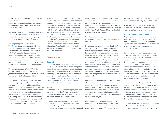losses relating to derivative financial instruments that have not been entered into to hedge revenue or production costs. Interest is recognised in accordance with the accrual basis of accounting.

Borrowing costs relating to general borrowing or loans directly attributable to the acquisition, construction, or development of qualifying assets form part of the cost of such assets.

#### **Tax on profit (loss) for the year**

The Ørsted Group is subject to the Danish rules on compulsory joint taxation and has also opted for international joint taxation with the Group's foreign subsidiaries. The Group's subsidiaries are included in the joint taxation from the date they are included in the consolidation in the consolidated financial statements and up to the date at which they are no longer included in the consolidation.

The parent company, Ørsted A/S, is the administration company in relation to the joint taxation and thus settles all payments of income tax with the tax authorities.

The current Danish income tax is allocated among the jointly taxed Danish subsidiaries in proportion to their taxable income. In this connection, Danish subsidiaries with tax losses receive a joint taxation contribution from the parent company corresponding to the tax value of the unutilised losses (full allocation), while companies that use tax losses in other Danish companies pay a joint taxation contribution to the parent company corresponding to the tax value of the utilised losses.

Being made up of the year's current income tax, the year's joint taxation contributions and changes in deferred tax, including – as a consequence of changed tax rates – tax for the year is recognised in the income statement with the part attributable to the profit (loss) for the year and directly in equity with the part attributable to entries directly in equity. The Group is included in a Danish on-account tax scheme. Tax refunds and tax surcharges are allocated between the jointly taxed Danish companies in accordance with the allocation of the Danish income tax and recognised as financial income and financial expenses, respectively.

### **Balance sheet**

### **Goodwill**

Goodwill is measured initially in the balance sheet at cost. Subsequent to initial recognition, goodwill is measured at cost less accumulated impairment losses. Goodwill is not amortised. The carrying amount of goodwill is allocated to the Group's cash-generating units at the acquisition date. The determination of cash-generating units follows the Group's organisational and internal reporting structure.

#### **Rights**

Rights comprise gas purchase rights, acquired customer rights, IT software licences, etc., and are measured at cost less accumulated amortisation and impairment losses.

Gas purchase rights are amortised using the unit-of-production method, taking into account the expected earnings profile, so that the amortisation pattern reflects the expected earnings patterns. Other rights are amortised on a straight-line basis over their expected economic lives, which are determined on the basis of management's experience of the specific business units, and the assets to which the rights relate. Capitalised rights are estimated to have a life of 5-20 years.

#### **Development projects**

Development projects comprise development of IT systems, etc.

Development projects that are clearly defined and identifiable, and for which technical feasibility, adequate resources, a potential future market, or an application in the company can be demonstrated, and which the company intends to manufacture, market, or use, are recognised in intangible assets if the cost can be determined reliably, and if there is reasonable certainty that the future earnings or the net selling price will cover production costs, selling costs, administrative expenses, and development costs. Other development costs are recognised in the income statement as incurred.

Recognised development costs are measured at cost less accumulated depreciation and impairment losses. Cost comprises salaries, amortisation, and other costs attributable to the company's development activities as well as borrowing costs relating to specific and general borrowing directly attributable to development projects.

On completion, development projects are amortised on a straight-line basis over their assessed future useful lives from the date the asset is available for use. The amortisation

period is usually five years. The basis of amortisation is reduced by any impairment losses.

Amortisation and impairment losses relating to intangible assets are recognised in the statement of comprehensive income.

#### **Property, plant and equipment**

Property, plant and equipment comprise land and buildings, production assets and other tools and equipment. Property, plant and equipment which are not leases are measured at cost less accumulated depreciation and impairment losses.

Cost comprises the purchase price and any costs directly attributable to the acquisition until the date the asset is available for use. The cost of self-constructed assets comprises direct and indirect expenses for materials, components, sub-suppliers, and wages. Finance costs that can be attributed to a preparation or production period are recognised in the income statement as finance costs. Specific and general borrowing costs attributable to a construction period are recognised in the cost of the asset constructed.

Cost is increased by the present value of the estimated costs for dismantling and removing the asset and restoring the site to the extent that they are recognised as a provision. The cost of an assembled asset can be divided into separate components that are each depreciated separately if the useful lives of the individual components differ.

In the case of assets held under finance leases, cost is determined as the lower of the fair value of the assets and the present value of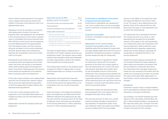future minimum lease payments. The present value is determined using the interest rate implicit in the lease as the discount rate or an approximated value.

Subsequent costs, for example in connection with replacement of parts of an item of property, plant and equipment, are recognised in the carrying amount of the asset in question when it is probable that future economic benefits will flow to the Group from the expenses incurred. Replaced parts are derecognised from the balance sheet, and their carrying amounts are taken to the income statement. All other general repair and maintenance expenses are recognised in the income statement as incurred.

Development and construction costs relating to property, plant and equipment are recognised, until entry into service, in the balance sheet under property, plant and equipment under construction. Following entry into service, these assets are transferred to the relevant items in property, plant and equipment.

In the case of gas activities, cost is depreciated using the unit-of-production method, taking into account the expected earnings profile, so that the depreciation pattern reflects the expected earnings patterns.

In the case of other property, plant and equipment, cost is basically depreciated on a straight-line basis over the estimated future useful lives.

Depreciation periods for property, plant and equipment:

| <b>Depreciation periods for PP&amp;E</b>            | Years     |
|-----------------------------------------------------|-----------|
| Buildings used for own purposes <sup>1</sup>        | 20        |
| Production assets: gas treatment plant <sup>2</sup> | $20 - 40$ |
| Marine pipelines <sup>2</sup>                       | $20 - 40$ |
| Fixtures and fittings, tools and equipment          | $3 - 10$  |
| Assets under construction <sup>3</sup>              |           |

1 Land is not depreciated.

- <sup>2</sup> The depreciation profile takes into account that the use of the assets changes substantially over the lives of the assets.
- <sup>3</sup> Depreciation does not commence until the date of entry into service, at which date the assets are transferred to production assets.

The basis of depreciation is determined on the basis of the asset's residual value less any impairment losses. The residual value is determined at the acquisition date and reassessed annually. Depreciation ceases if the residual value exceeds the carrying amount.

If the depreciation period or the residual value changes, the effect on depreciation is recognised prospectively as a change in accounting estimates.

Depreciation and impairment losses are recognised in the statement of comprehensive income to the extent that depreciation is not recognised in the cost of self-constructed assets.

Gains and losses on the disposal of property, plant and equipment are determined as the difference between the selling price less selling costs and the carrying amount at the date of disposal. Gains and losses are recognised in the income statement as 'Other operating income' or 'Other operating expenses'.

### **Investments in subsidiaries in the parent company financial statements**

Investments in subsidiaries are measured at cost. Cost is written down to the recoverable amount whenever it exceeds the recoverable amount.

### **Long-term receivables**

Long-term receivables include long-term loans to customers.

#### **Impairment of non-current assets**

Goodwill and intangible assets with an indefinite useful life are tested for impairment annually, initially before the end of the year of acquisition. Development projects in progress are also tested annually for impairment.

The carrying amount of goodwill is tested for impairment, along with the carrying amounts of the other non-current assets of the cash-generating unit to which the goodwill has been allocated, and written down to the recoverable amount in the income statement if the carrying amount exceeds the recoverable amount. The recoverable amount is generally determined as the present value of the expected future net cash flows from the company or activity (cash-generating unit) to which the goodwill relates.

Deferred tax assets are reviewed annually and recognised only to the extent that it is probable that they will be utilised.

The carrying amounts of other non-current assets are tested annually to determine if any indication of impairment exists. If any such indication exists, the asset's recoverable amount is determined. The recoverable

amount is the higher of an asset's fair value less expected disposal costs and its value in use. The value in use is determined as the present value of the expected future cash flows from the asset or cash-generating unit to which the asset belongs.

An impairment loss is recognised whenever the carrying amount of an asset or cashgenerating unit exceeds the recoverable amount of the asset or the cash-generating unit. Impairment losses are recognised in the income statement under production costs and administrative expenses, respectively. Impairment losses relating to goodwill are recognised as a separate line item in the income statement.

Impairment losses relating to goodwill are not reversed. Impairment losses relating to other assets are reversed to the extent that the assumptions or estimates that led to the impairment have changed. Impairment losses are only reversed to the extent that the asset's new carrying amount does not exceed the value of the asset after depreciation or amortisation, had no impairment losses been charged.

### **Inventories**

Inventories consist of gas in storage facilities and in gas pipelines, acquired carbon emission allowances, and green certificates.

Gas storage in non-Danish facilities are managed on a fair value basis, and therefore the gas in these storage facilities is recognised at fair value less sales costs. Changes in the fair value less costs to sell are recognised in cost of sales in the period of the change.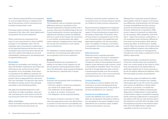Gas in Danish storage facilities are recognised at cost and determined as a weighted average of the previous month´s purchase price, including transportation costs.

Purchased carbon emission allowances are measured at fair value with value adjustments recognised in the income statement.

Other inventories are measured at the lower of cost using the first-in, first-out (FIFO) principle or net realisable value. The net realisable value of inventories is determined as the expected selling price less any costs of completion and costs incurred to execute the sale and is determined taking into account marketability, obsolescence, and development of expected selling price.

### **Receivables**

We keep our receivables until maturity, and they are therefore measured at amortised cost. Write-downs are carried out from initial recognition of our receivables. Write-down is calculated as the difference between the carrying amount of the receivable and the net present value of expected future cash flows from the receivable. The discount rate used is the effective interest rate for the individual receivable or the individual portfolio.

We apply the simplified approach to the write-down of trade receivables, which permits calculating the write-downs as the full loss during the entire term of the receivable.

### **Other receivables**

Other receivables include positive fair values of derivative financial instruments, etc.

### **Equity Translation reserve**

The translation reserve comprises exchange differences arising on translation of the financial statements of foreian entities with a currency other than the Ørsted Salg & Service Group's presentation currency, exchange rate adjustments relating to assets and liabilities that form a part of the Group's net investment in such entities, and exchange rate adjustments relating to hedging actions that hedge the Group's net investment in such entities, less the related tax.

On realisation or partial realisation of the net investment, the exchange rate adjustments are recognised in the income statement.

#### **Dividends**

Proposed dividends are recognised as a liability at the date of their adoption at the annual general meeting (declaration date). Up to the declaration date, proposed dividends are disclosed as a separate item in equity.

#### **Provisions**

Provisions are recognised when the following criteria are fulfilled:

- We have a legal or constructive obligation as a result of an earlier event.
- The settlement of the obligation is expected to result in an outflow of resources.
- The obligation can be measured reliably.

For onerous contracts, a provision is made when the expected income to be derived from a contract is lower than the unavoidable cost of meeting our obligations under the contract. Provisions concerning carbon emissions are recognised when our actual emissions exceed our holding of carbon emission allowances.

Decommissioning obligations are measured at the present value of the future liability in respect of decommissioning as expected at the balance sheet date. The present value of the provision is recognised as part of the cost of property, plant and equipment and depreciated together with the associated asset. The addition of interest on provisions is recognised in the income statement under financial expenses.

### **Deferred income**

Deferred income comprises payments received in respect of income in subsequent years, measured at cost. Deferred income includes the value of unrecognised amounts in respect of gas delivered under contract, which is recognised at realisable value. The value of gas free of charge delivered under contract is spread proportionally over the remaining contract period with a view to accounting for purchased goods on an accruals basis.

### **Contract liabilities**

We recognise a contract liability when the invoicing on account and expected losses exceed the transaction price of the goods or services transferred to our customer.

### **Income tax and deferred tax**

Current tax liabilities and current tax receivables are recognised in the balance sheet as tax calculated on the year's taxable income adjusted for tax on previous years' taxable income and tax paid on account.

Deferred tax is measured using the balance sheet liability method in respect of all temporary differences arising between the tax bases of assets and liabilities and their carrying amounts for financial reporting purposes. However, deferred tax on temporary differences in respect of goodwill not deductible for tax purposes, office properties, and other items – apart from business combinations – is not recognised where temporary differences have arisen at the acquisition date without having any effect on profit (loss) or taxable income. When the tax base can be determined applying different taxation rules, deferred tax is measured on the basis of management's intended use of the asset or settlement of the liability, respectively.

Deferred tax assets, including the tax base of tax loss carryforwards, are recognised as other non-current assets at the value at which they are expected to be utilised either by elimination against tax on future earnings or by set-off against deferred tax liabilities within the same legal tax entity and jurisdiction.

Deferred tax assets and deferred tax liabilities are offset if the company has a legally enforceable right to set off current tax assets and current tax liabilities or intends either to settle on a net basis or to realise the asset and settle the liability simultaneously. Adjustment of deferred tax is made relating to eliminations made of unrealised intragroup profits and losses. Deferred tax is measured in accordance with the tax rules and tax rates in the respective countries that will apply under the legislation enacted at the balance sheet date when the deferred tax is expected to crystallise in the form of current tax.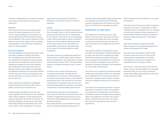Changes in deferred tax as a result of changes in tax rates are recognised in the income statement.

### **Pensions**

The Group has entered into pension agreements and similar agreements with most of the Group's employees. Contributions to insured (defined-contribution) pension plans are recognised in the income statement in the period to which they relate, and any contributions payable are recognised in the balance sheet as other payables.

### **Financial liabilities**

Financial liabilities comprise bank loans, trade and other payables to public authorities, etc. Mortgage loans and other bank loans are recognised at inception at the proceeds received net of transaction costs incurred. In subsequent periods, the financial liabilities are measured at amortised cost using the effective interest rate method. Accordingly, the difference between the proceeds received and the nominal amount is recognised in the income statement as finance costs over the term of the loan.

Other bank loans include the capitalised residual lease commitment under finance leases, measured at amortised cost.

Trade payables, payable income tax, and other payables are measured at net realisable value. Other payables include negative fair values of derivative financial instruments, etc. Financial liabilities whose values have been effectively hedged are adjusted to fair value to the extent of the hedged risk. The value

adjustment is recognised in the income statement as financial income or financial expenses.

### **Leases**

Our lease liabilities are initially measured at the net present value of the in-substance fixed lease payments for the use of a lease asset. If, at inception of the lease, we are reasonably certain about exercising an option to extend a lease, we will include the lease payments in the option period when calculating the lease liability. We measure the lease asset to the value of the lease liability at initial recognition.

Our lease assets are classified alongside our owned assets of similar type under property, plant and equipment. We depreciate our lease assets during the lease term. The depreciation method is straight-line basis for all our lease assets.

Contracts may contain both lease and non-lease components. We allocate the consideration in a contract to the lease and non-lease components based on their relative stand-alone prices. We account for non-lease components in accordance with the accounting policy applicable for such items. Non-lease components comprise building services, etc.

Variable lease expenses are recognised in other external expenses in the period when the condition triggering those payments occurs. Interests of lease liabilities are recognised in financial expenses.

Each lease payment is separated into repayment of the lease liability and payment of

interests of the lease liability. Debt repayments are classified as cash flows from financing activities, and payment of interests are classified as cash flows from operating activities.

### **Statement of cash flows**

The statement of cash flows shows cash flows for the year from operating, investing, and financing activities, the year's changes in cash and cash equivalents, and cash and cash equivalents at the beginning and end of the year.

The cash flow effect of acquisitions and divestments of enterprises is disclosed separately under cash flows from investing activities. Cash flows relating to acquired enterprises are recognised in the statement of cash flows from the date of acquisition, and cash flows relating to divested enterprises are recognised up to the date of divestment.

Cash flows from operating activities are determined using the indirect method as operating profit adjusted for non-cash operating items, changes in working capital, interest received and paid, dividends received, and income tax paid.

Cash flows from investing activities comprise payments in connection with the acquisition and divestment of enterprises and activities; purchase and sale of intangible assets, property, plant and equipment and other non-current assets; and purchase and sale of securities that are not recognised as cash and cash equivalents.

Finance leases are accounted for as non-cash transactions.

Cash flows from financing activities comprise changes in the size or composition of share capital and costs associated with such changes as well as the raising of loans, repayment of interest-bearing debt, purchases and sales of treasury shares, and payment of dividends to owners.

Cash flows relating to assets held under finance leases are recognised as payment of interest and repayment of debt.

Cash and cash equivalents comprise cash as well as securities that form part of the ongoing cash management, are readily convertible to cash, and are subject to an insignificant risk of changes in value.

Cash flows in currencies other than the functional currency are translated at the average exchange rates for the month in question, unless these differ significantly from the rates at the transaction date.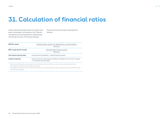59

### <span id="page-58-0"></span>**31. Calculation of financial ratios**

Unless otherwise stated, financial ratios have been calculated in accordance with 'Recommendations & Financial Ratios' published by the Danish Society of Financial Analysts.

Financial ratios have been calculated as follows:

| <b>EBITDA</b> margin               | Earnings before interest, tax, depreciation, and amortisation                                                             |  |  |  |  |
|------------------------------------|---------------------------------------------------------------------------------------------------------------------------|--|--|--|--|
|                                    | Revenue                                                                                                                   |  |  |  |  |
| <b>EBIT</b> margin (profit margin) | Earnings before interest and tax                                                                                          |  |  |  |  |
|                                    | Revenue                                                                                                                   |  |  |  |  |
| Net interest-bearing debt          | Interest-bearing liabilities - interest-bearing assets <sup>1</sup>                                                       |  |  |  |  |
| Capital employed                   | Equity plus/minus gains/losses relating to hedging instruments on equity<br>+ net interest-bearing debt <sup>2</sup>      |  |  |  |  |
|                                    | المعط والمرزارية والمحاولة والمحاوض والمستحي والمستحق والمستحق والمستحقق والمستحدث والمستحق والمستحدث والمستحدث والمستحدث |  |  |  |  |

 Bank overdrafts that are included in the statement of cash flows as cash and cash equivalents are included as negative interest-bearing assets.

<sup>2</sup> The definition deviates from 'Recommendations & Financial Ratios 2015' published by the Danish Society of Financial Analysts.